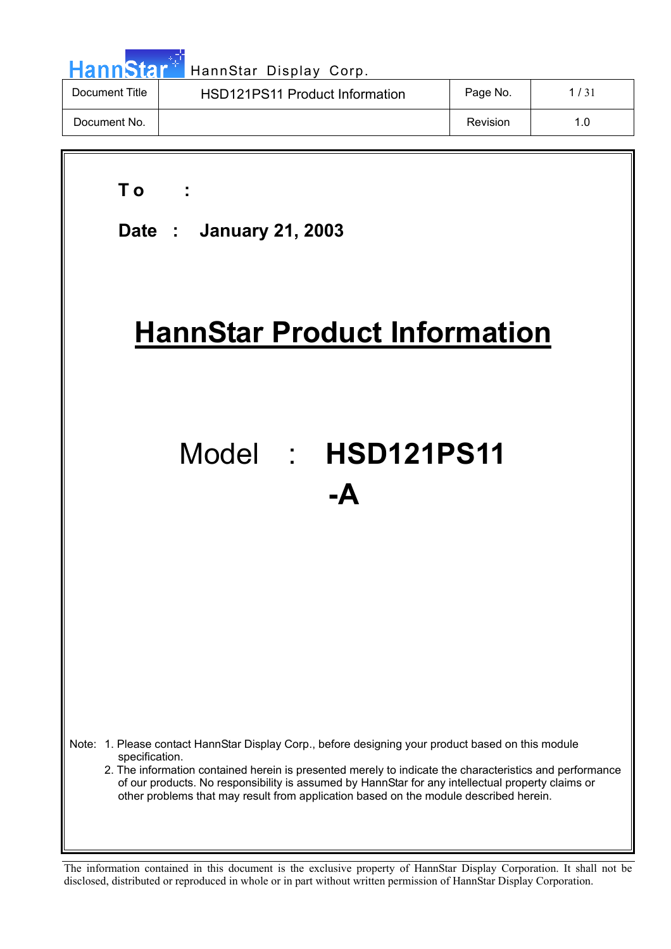| HannStar <sup>*</sup> | HannStar Display Corp.         |          |      |
|-----------------------|--------------------------------|----------|------|
| Document Title        | HSD121PS11 Product Information | Page No. | 1/31 |
| Document No.          |                                | Revision | 1.0  |

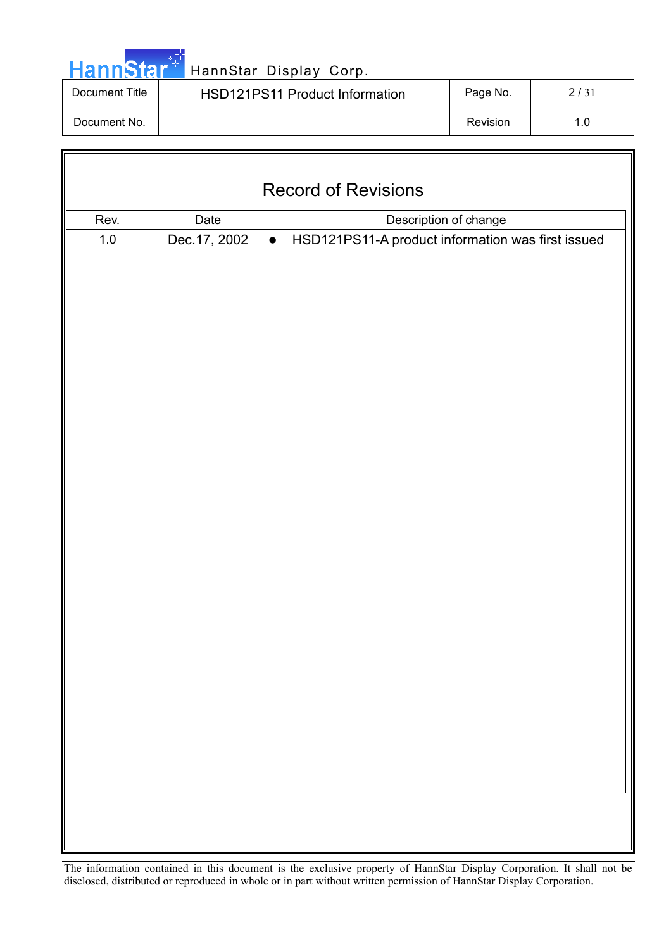|  |  | <b>HannStar</b> |  |
|--|--|-----------------|--|
|  |  |                 |  |

HannStar Display Corp.

| Document Title | <b>HSD121PS11 Product Information</b> | Page No. | 2/31 |
|----------------|---------------------------------------|----------|------|
| Document No.   |                                       | Revision | 1.0  |

| <b>Record of Revisions</b> |                               |                                                                |  |  |  |  |
|----------------------------|-------------------------------|----------------------------------------------------------------|--|--|--|--|
| Rev.                       | Date<br>Description of change |                                                                |  |  |  |  |
| $1.0\,$                    | Dec. 17, 2002                 | HSD121PS11-A product information was first issued<br>$\bullet$ |  |  |  |  |
|                            |                               |                                                                |  |  |  |  |
|                            |                               |                                                                |  |  |  |  |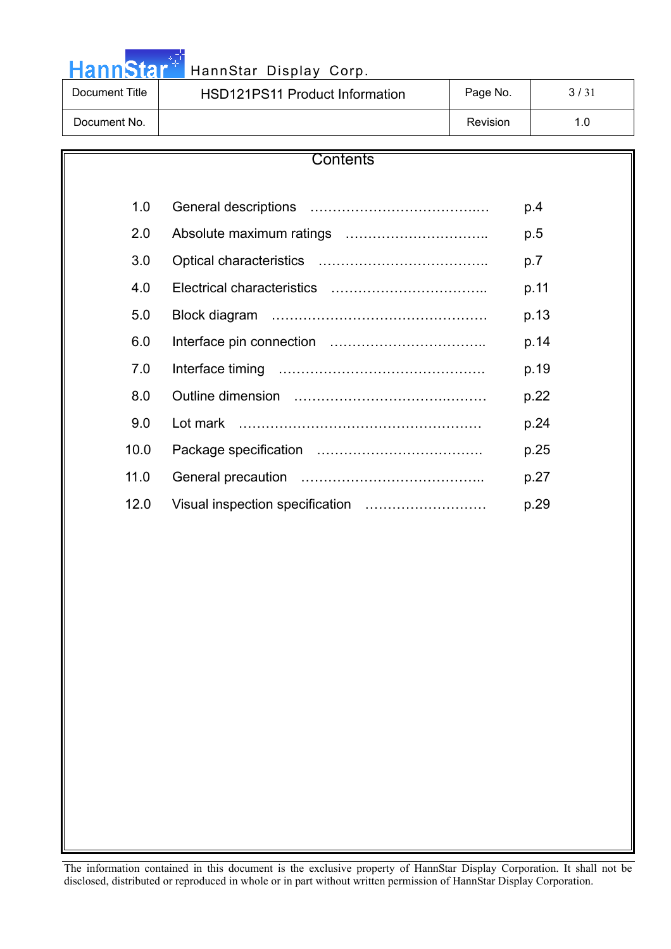HannStar<sup>4</sup> HannStar Display Corp.

| Document Title | <b>HSD121PS11 Product Information</b> | Page No. | 3/31 |
|----------------|---------------------------------------|----------|------|
| Document No.   |                                       | Revision | 1.0  |

| Contents |          |      |  |  |
|----------|----------|------|--|--|
|          |          |      |  |  |
| 1.0      |          | p.4  |  |  |
| 2.0      |          | p.5  |  |  |
| 3.0      |          | p.7  |  |  |
| 4.0      |          | p.11 |  |  |
| 5.0      |          | p.13 |  |  |
| 6.0      |          | p.14 |  |  |
| 7.0      |          | p.19 |  |  |
| 8.0      |          | p.22 |  |  |
| 9.0      | Lot mark | p.24 |  |  |
| 10.0     |          | p.25 |  |  |
| 11.0     |          | p.27 |  |  |
| 12.0     |          | p.29 |  |  |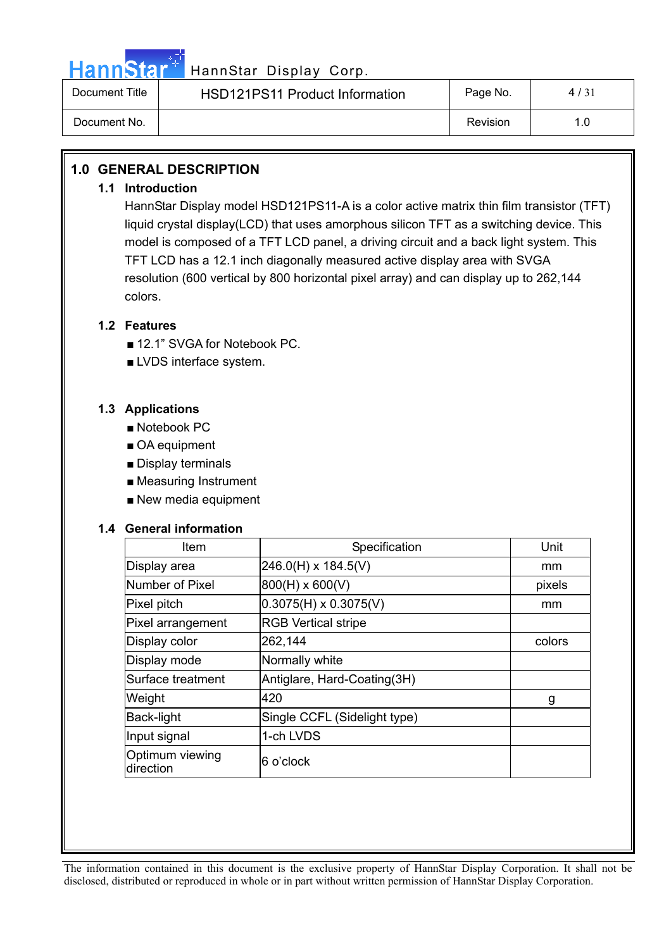

# HannStar<sup>#T</sup> HannStar Display Corp.

| Document Title | <b>HSD121PS11 Product Information</b> | Page No. | 4/31 |
|----------------|---------------------------------------|----------|------|
| Document No.   |                                       | Revision |      |

## **1.0 GENERAL DESCRIPTION**

### **1.1 Introduction**

HannStar Display model HSD121PS11-A is a color active matrix thin film transistor (TFT) liquid crystal display(LCD) that uses amorphous silicon TFT as a switching device. This model is composed of a TFT LCD panel, a driving circuit and a back light system. This TFT LCD has a 12.1 inch diagonally measured active display area with SVGA resolution (600 vertical by 800 horizontal pixel array) and can display up to 262,144 colors.

### **1.2 Features**

- 12.1" SVGA for Notebook PC.
- $\blacksquare$  LVDS interface system.

### **1.3 Applications**

- $\blacksquare$  Notebook PC
- $\blacksquare$  OA equipment
- $\blacksquare$  Display terminals
- $\blacksquare$  Measuring Instrument
- $\blacksquare$  New media equipment

### **1.4 General information**

| Item                         | Specification                | Unit   |
|------------------------------|------------------------------|--------|
| Display area                 | $246.0(H) \times 184.5(V)$   | mm     |
| Number of Pixel              | $800(H) \times 600(V)$       | pixels |
| Pixel pitch                  | $0.3075(H) \times 0.3075(V)$ | mm     |
| Pixel arrangement            | <b>RGB Vertical stripe</b>   |        |
| Display color                | 262,144                      | colors |
| Display mode                 | Normally white               |        |
| Surface treatment            | Antiglare, Hard-Coating(3H)  |        |
| Weight                       | 420                          | g      |
| Back-light                   | Single CCFL (Sidelight type) |        |
| Input signal                 | 1-ch LVDS                    |        |
| Optimum viewing<br>direction | 6 o'clock                    |        |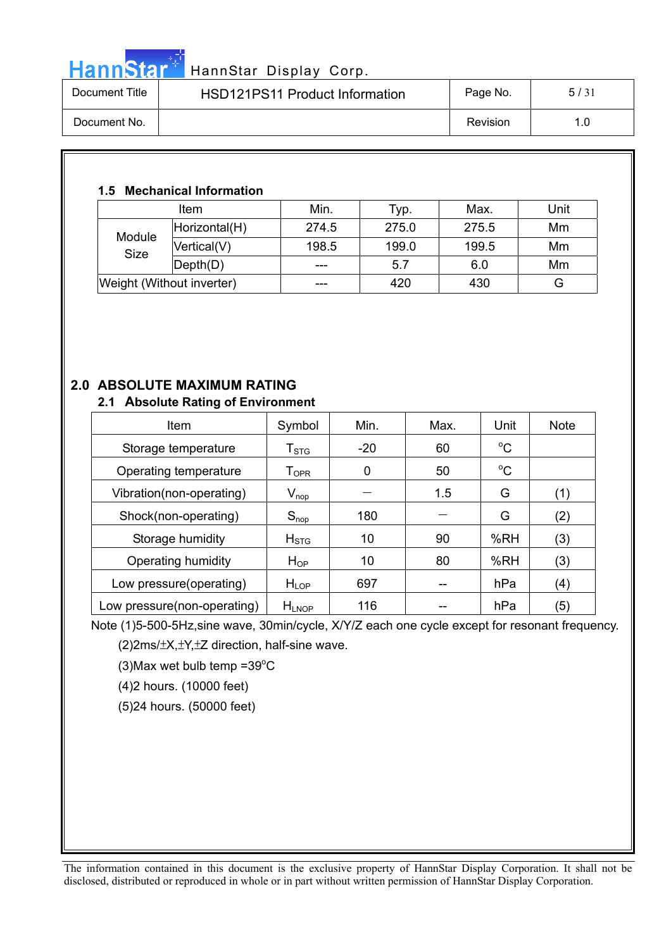# HannStar<sup>#</sup> HannStar Display Corp.

| Document Title | <b>HSD121PS11 Product Information</b> | Page No. | 5/31 |
|----------------|---------------------------------------|----------|------|
| Document No.   |                                       | Revision | 1.0  |

## **1.5 Mechanical Information**

|                           | Item          | Min.  | Typ.  | Max.  | Unit |
|---------------------------|---------------|-------|-------|-------|------|
| Module<br><b>Size</b>     | Horizontal(H) | 274.5 | 275.0 | 275.5 | Mm   |
|                           | Vertical(V)   | 198.5 | 199.0 | 199.5 | Mm   |
|                           | Depth(D)      |       | 5.7   | 6.0   | Mm   |
| Weight (Without inverter) |               | ---   | 420   | 430   | G    |

# **2.0 ABSOLUTE MAXIMUM RATING**

### **2.1 Absolute Rating of Environment**

| Item                        | Symbol                                            | Min.  | Max. | Unit        | <b>Note</b> |
|-----------------------------|---------------------------------------------------|-------|------|-------------|-------------|
| Storage temperature         | $I_{STG}$                                         | $-20$ | 60   | $^{\circ}C$ |             |
| Operating temperature       | $T_{OPR}$                                         | 0     | 50   | $^{\circ}C$ |             |
| Vibration(non-operating)    | $\mathsf{V}_{\mathsf{nop}}$                       |       | 1.5  | G           | (1)         |
| Shock(non-operating)        | $S_{\text{nop}}$                                  | 180   |      | G           | (2)         |
| Storage humidity            | H <sub>STG</sub>                                  | 10    | 90   | %RH         | (3)         |
| Operating humidity          | $H_{OP}$                                          | 10    | 80   | %RH         | (3)         |
| Low pressure(operating)     | H <sub>LOP</sub>                                  | 697   |      | hPa         | (4)         |
| Low pressure(non-operating) | $H_{\mathsf{L} \mathsf{N} \mathsf{O} \mathsf{P}}$ | 116   |      | hPa         | (5)         |

Note (1)5-500-5Hz,sine wave, 30min/cycle, X/Y/Z each one cycle except for resonant frequency.  $(2)2ms/\pm X,\pm Y,\pm Z$  direction, half-sine wave.

 $(3)$ Max wet bulb temp =39 $^{\circ}$ C

(4)2 hours. (10000 feet)

(5)24 hours. (50000 feet)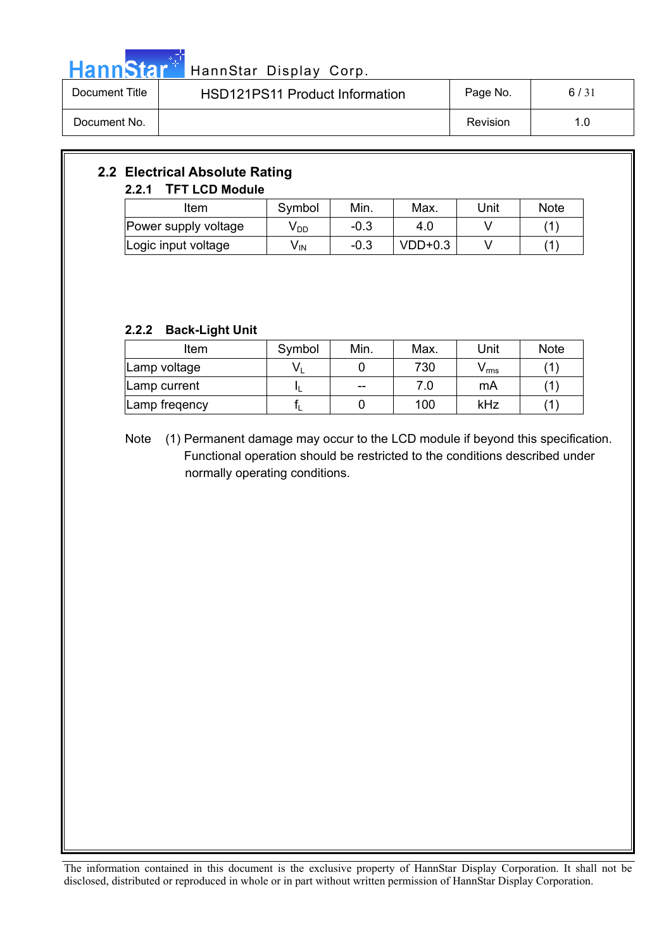

# HannStar<sup>t HannStar Display Corp.</sup>

| Document Title | HSD121PS11 Product Information | Page No. | 6/31 |
|----------------|--------------------------------|----------|------|
| Document No.   |                                | Revision | 1.0  |

## **2.2 Electrical Absolute Rating 2.2.1 TFT LCD Module**

| Item                 | Min.<br>Symbol |        | Max.      | Unit | <b>Note</b> |
|----------------------|----------------|--------|-----------|------|-------------|
| Power supply voltage | V DD           | $-0.3$ | 4.0       |      |             |
| Logic input voltage  | V IN           | $-0.3$ | $VDD+0.3$ |      |             |

## **2.2.2 Back-Light Unit**

| Item          | Symbol | Min.  | Max. | Unit  | <b>Note</b> |
|---------------|--------|-------|------|-------|-------------|
| Lamp voltage  | V١     |       | 730  | V rms |             |
| Lamp current  |        | $- -$ | 7.0  | mA    |             |
| Lamp fregency |        |       | 100  | kHz   |             |

Note (1) Permanent damage may occur to the LCD module if beyond this specification. Functional operation should be restricted to the conditions described under normally operating conditions.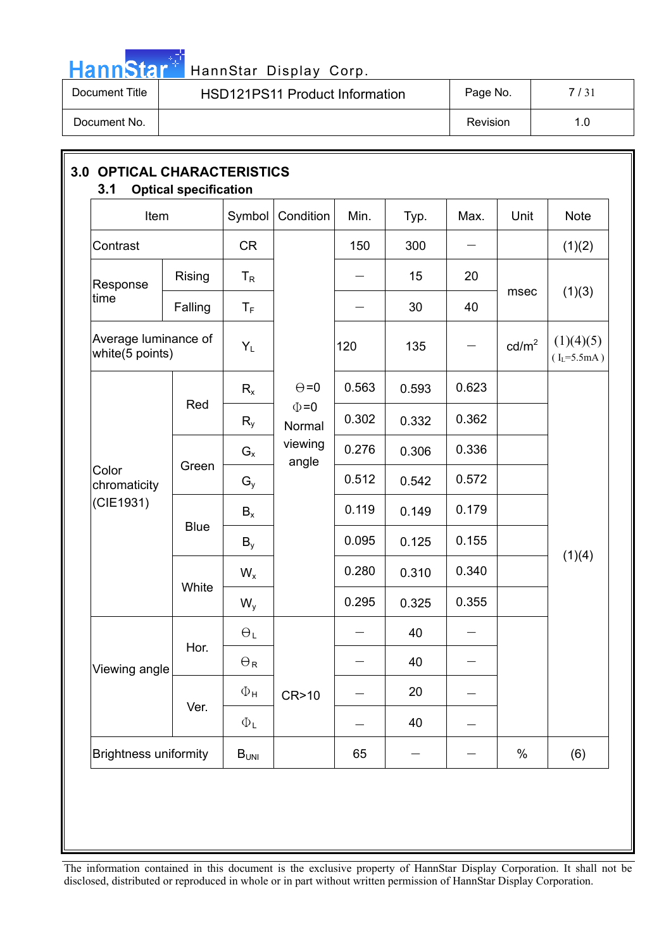

# HannStar<sup>t HannStar Display Corp.</sup>

| Document Title | <b>HSD121PS11 Product Information</b> | Page No. | 7/31 |
|----------------|---------------------------------------|----------|------|
| Document No.   |                                       | Revision | 1.0  |

| Item                                    |             | Symbol                | Condition                                | Min.                     | Typ.  | Max.                     | Unit            | <b>Note</b>                  |
|-----------------------------------------|-------------|-----------------------|------------------------------------------|--------------------------|-------|--------------------------|-----------------|------------------------------|
| Contrast                                |             | <b>CR</b>             |                                          | 150                      | 300   |                          |                 | (1)(2)                       |
| Response                                | Rising      | $T_R$                 |                                          | $\overline{\phantom{0}}$ | 15    | 20                       |                 |                              |
| time                                    | Falling     | $T_F$                 |                                          |                          | 30    | 40                       | msec            | (1)(3)                       |
| Average luminance of<br>white(5 points) |             | $Y_L$                 |                                          | 120                      | 135   | $\qquad \qquad$          | $\text{cd/m}^2$ | (1)(4)(5)<br>$(I_L = 5.5mA)$ |
| Color<br>chromaticity                   |             | $R_{x}$               | $\Theta = 0$                             | 0.563                    | 0.593 | 0.623                    |                 |                              |
|                                         | Red         | $R_{y}$               | $\Phi = 0$<br>Normal<br>viewing<br>angle | 0.302                    | 0.332 | 0.362                    |                 |                              |
|                                         |             | $G_{x}$               |                                          | 0.276                    | 0.306 | 0.336                    |                 |                              |
|                                         | Green       | $G_{y}$               |                                          | 0.512                    | 0.542 | 0.572                    |                 |                              |
| (CIE1931)                               | <b>Blue</b> | $B_{x}$               |                                          | 0.119                    | 0.149 | 0.179                    |                 |                              |
|                                         |             | $B_{v}$               |                                          | 0.095                    | 0.125 | 0.155                    |                 | (1)(4)                       |
|                                         | White       | $W_{x}$               |                                          | 0.280                    | 0.310 | 0.340                    |                 |                              |
|                                         |             | $W_{y}$               |                                          | 0.295                    | 0.325 | 0.355                    |                 |                              |
|                                         | Hor.        | $\Theta_L$            |                                          |                          | 40    | $\overline{\phantom{0}}$ |                 |                              |
| Viewing angle                           |             | $\Theta_{\mathsf{R}}$ |                                          |                          | 40    | $\overline{\phantom{0}}$ |                 |                              |
|                                         | Ver.        | $\Phi_{\mathsf{H}}$   | CR>10                                    |                          | 20    |                          |                 |                              |
|                                         |             | $\Phi_{\mathsf{L}}$   |                                          |                          | 40    |                          |                 |                              |
| <b>Brightness uniformity</b>            |             | $B_{UNI}$             |                                          | 65                       |       |                          | $\%$            | (6)                          |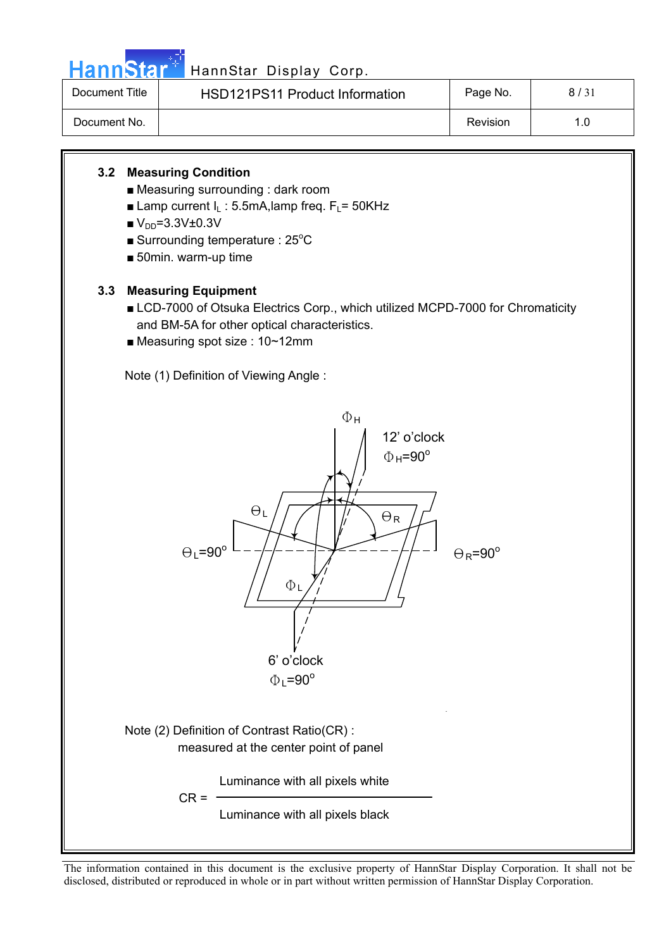

# HannStar<sup>47</sup> HannStar Display Corp.

| Document Title | <b>HSD121PS11 Product Information</b> | Page No. | 8/31 |
|----------------|---------------------------------------|----------|------|
| Document No.   |                                       | Revision | 1.0  |

## **3.2 Measuring Condition**

- $\blacksquare$  Measuring surrounding : dark room
- **E** Lamp current  $I_1$  : 5.5mA, lamp freq.  $F_1$  = 50KHz
- $V_{DD} = 3.3V \pm 0.3V$
- Surrounding temperature :  $25^{\circ}$ C
- $\blacksquare$  50min. warm-up time

## **3.3 Measuring Equipment**

- LCD-7000 of Otsuka Electrics Corp., which utilized MCPD-7000 for Chromaticity and BM-5A for other optical characteristics.
- $\blacksquare$  Measuring spot size : 10~12mm

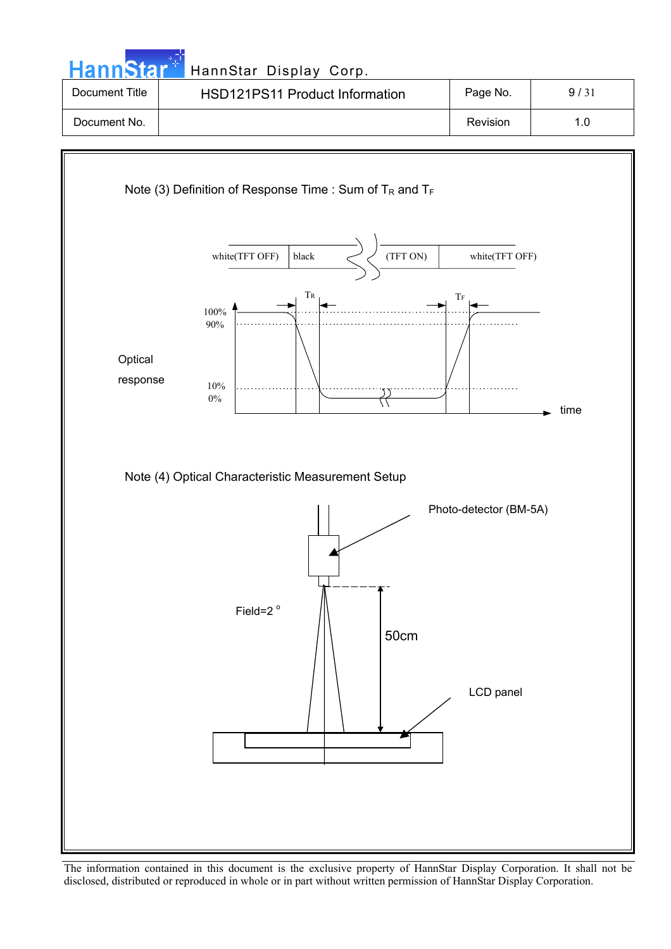| <b>Document Title</b> | HSD121PS11 Product Information                                | Page No.       | 9/31 |
|-----------------------|---------------------------------------------------------------|----------------|------|
| Document No.          |                                                               | Revision       | 1.0  |
|                       | Note (3) Definition of Response Time : Sum of $T_R$ and $T_F$ |                |      |
|                       | white(TFT OFF)<br>(TFT ON)<br>black                           | white(TFT OFF) |      |
|                       | $T_{R}$<br>100%<br>90%                                        | $\rm{Tr}$      |      |
| Optical<br>response   | 10%<br>$0\%$                                                  |                | time |

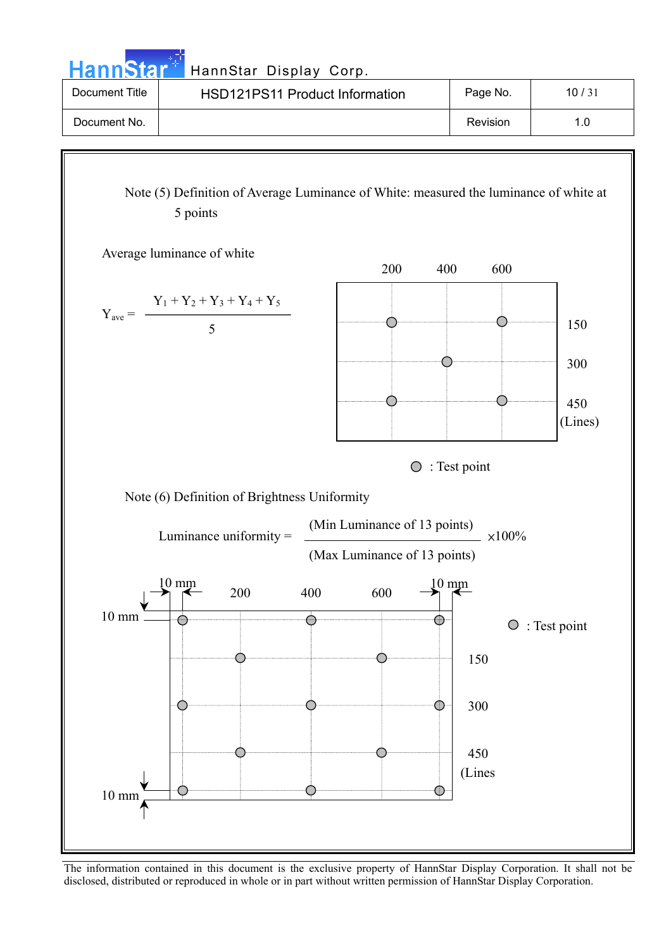HannStar<sup>#</sup> HannStar Display Corp.

| Document Title | <b>HSD121PS11 Product Information</b> | Page No. | 10/31 |
|----------------|---------------------------------------|----------|-------|
| Document No.   |                                       | Revision | 1.0   |

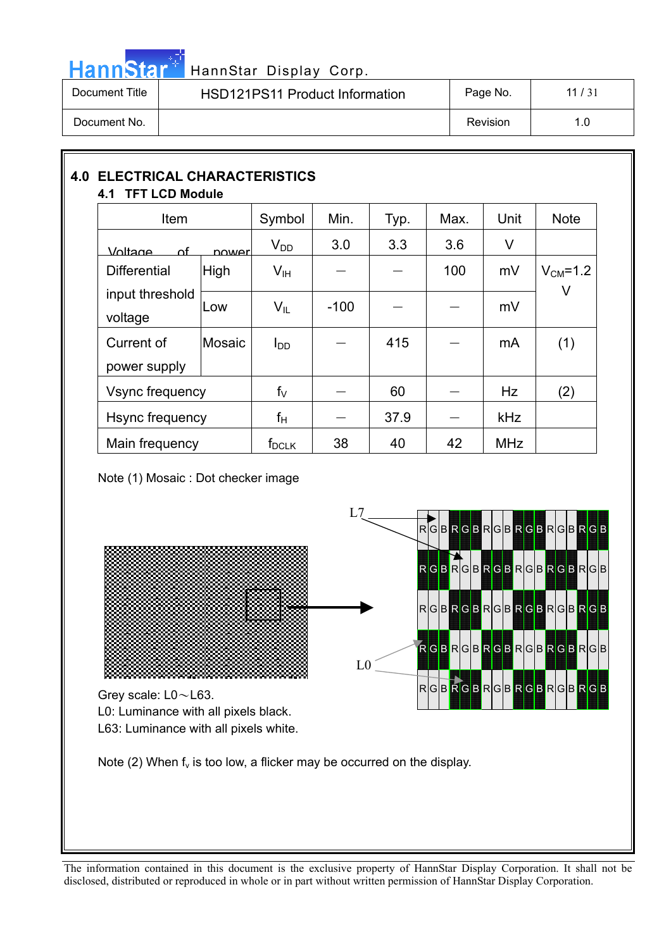

# HannStar<sup>47</sup> HannStar Display Corp.

| Document Title | HSD121PS11 Product Information | Page No. | 11 $/31$ |
|----------------|--------------------------------|----------|----------|
| Document No.   |                                | Revision | 1.0      |

### **4.0 ELECTRICAL CHARACTERISTICS 4.1 TFT LCD Module**

| Item                       |             | Symbol          | Min.   | Typ. | Max. | Unit       | <b>Note</b>    |
|----------------------------|-------------|-----------------|--------|------|------|------------|----------------|
| <u>Voltage</u><br>∩f       | nower       | $V_{DD}$        | 3.0    | 3.3  | 3.6  | V          |                |
| <b>Differential</b>        | <b>High</b> | $V_{\text{IH}}$ |        |      | 100  | mV         | $V_{CM} = 1.2$ |
| input threshold<br>voltage | Low         | $V_{\parallel}$ | $-100$ |      |      | mV         | V              |
| Current of                 | Mosaic      | $I_{DD}$        |        | 415  |      | mA         | (1)            |
| power supply               |             |                 |        |      |      |            |                |
| Vsync frequency            |             | $f_V$           |        | 60   |      | <b>Hz</b>  | (2)            |
| Hsync frequency            |             | $f_H$           |        | 37.9 |      | <b>kHz</b> |                |
| Main frequency             |             | $f_{DCLK}$      | 38     | 40   | 42   | <b>MHz</b> |                |

Note (1) Mosaic : Dot checker image

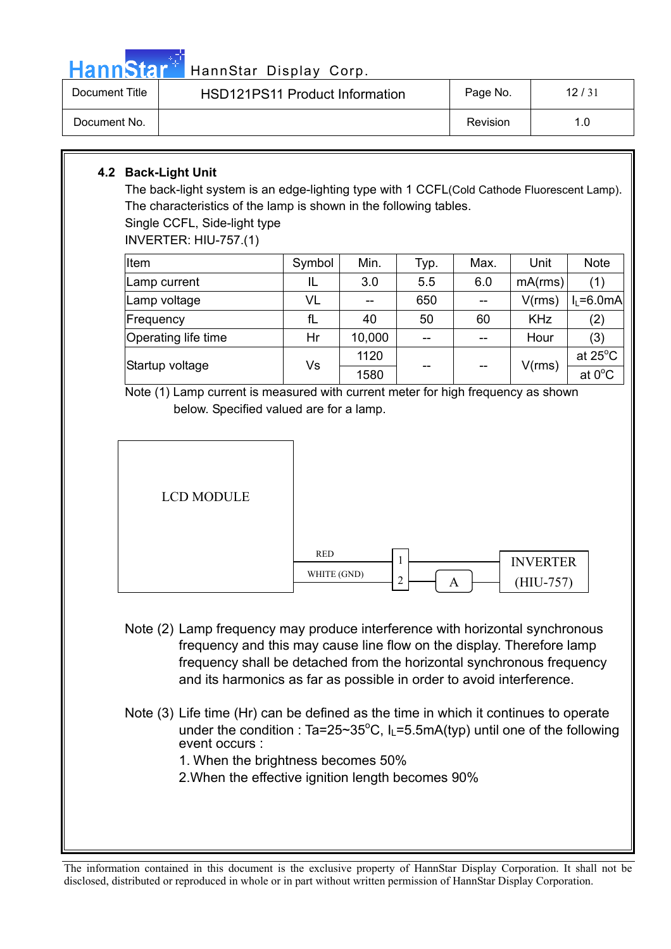|  |  | <b>HannStar</b> * |  |
|--|--|-------------------|--|
|  |  |                   |  |
|  |  |                   |  |

# HannStar Display Corp.

| Document Title | <b>HSD121PS11 Product Information</b> | Page No. | 12/31 |
|----------------|---------------------------------------|----------|-------|
| Document No.   |                                       | Revision |       |

# **4.2 Back-Light Unit**

The back-light system is an edge-lighting type with 1 CCFL(Cold Cathode Fluorescent Lamp). The characteristics of the lamp is shown in the following tables.

Single CCFL, Side-light type

INVERTER: HIU-757.(1)

| Item                | Symbol | Min.   | Typ. | Max. | Unit       | <b>Note</b>       |
|---------------------|--------|--------|------|------|------------|-------------------|
| Lamp current        | IL     | 3.0    | 5.5  | 6.0  | mA(rms)    | (1)               |
| Lamp voltage        | VL     |        | 650  |      | V(rms)     | $I1 = 6.0mA$      |
| Frequency           | fL     | 40     | 50   | 60   | <b>KHz</b> | (2)               |
| Operating life time | Hr     | 10,000 | $-$  | $-$  | Hour       | (3)               |
| Startup voltage     | Vs     | 1120   | --   | --   | V(rms)     | at $25^{\circ}$ C |
|                     |        | 1580   |      |      |            | at 0°C            |

Note (1) Lamp current is measured with current meter for high frequency as shown below. Specified valued are for a lamp.



| <b>RED</b>  |   | <b>INVERTER</b> |
|-------------|---|-----------------|
| WHITE (GND) | C | $(HIU-757)$     |

- Note (2) Lamp frequency may produce interference with horizontal synchronous frequency and this may cause line flow on the display. Therefore lamp frequency shall be detached from the horizontal synchronous frequency and its harmonics as far as possible in order to avoid interference.
- Note (3) Life time (Hr) can be defined as the time in which it continues to operate under the condition :  $Ta=25~35°C$ ,  $I_L=5.5mA(typ)$  until one of the following event occurs :
	- 1. When the brightness becomes 50%
	- 2.When the effective ignition length becomes 90%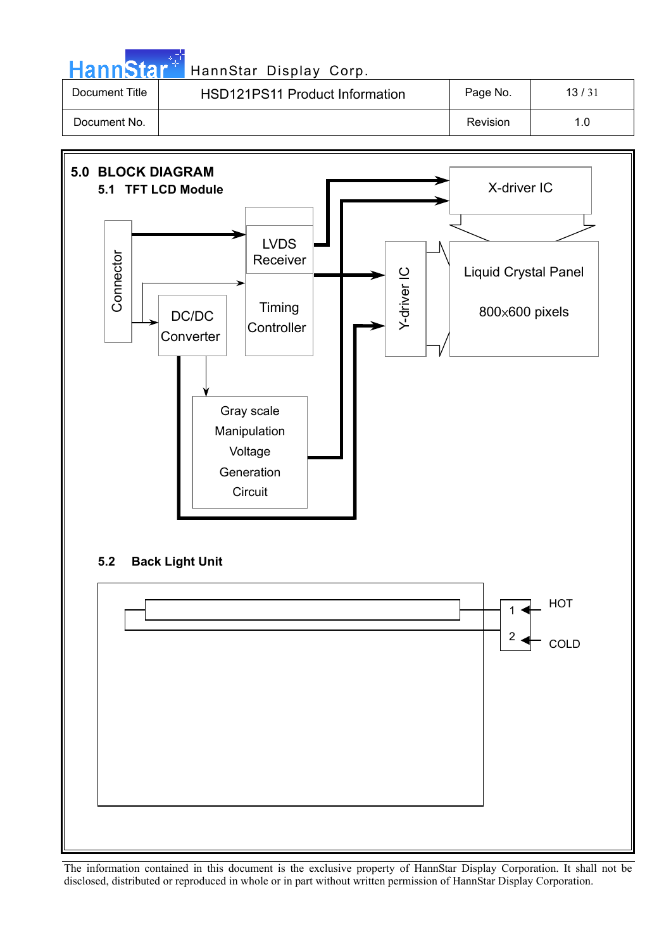| HannStar <sup>+1</sup> | HannStar Display Corp.                |          |       |
|------------------------|---------------------------------------|----------|-------|
| Document Title         | <b>HSD121PS11 Product Information</b> | Page No. | 13/31 |
| Document No.           |                                       | Revision | 1.0   |

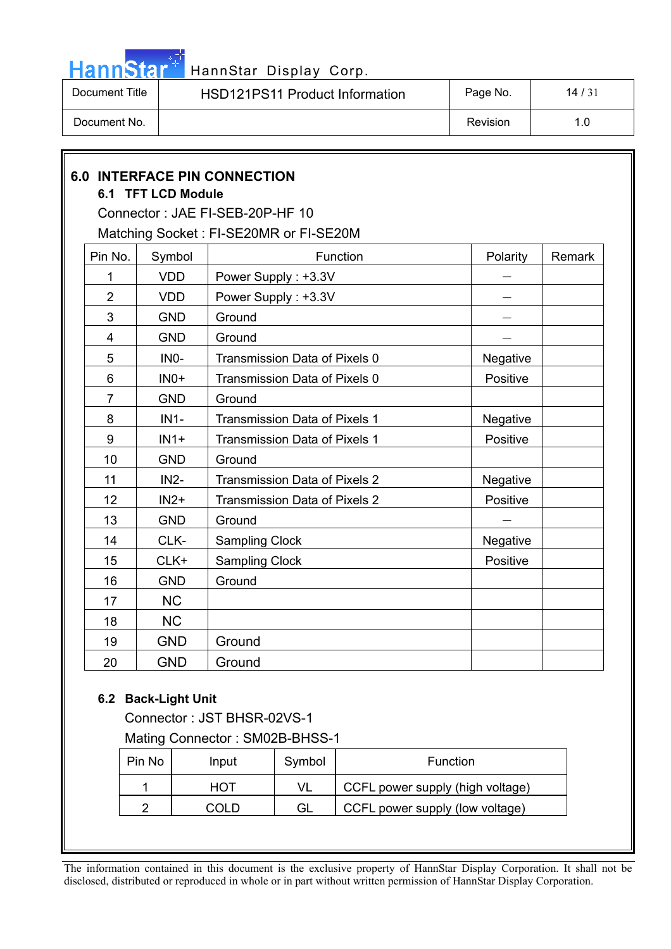

| Document Title | <b>HSD121PS11 Product Information</b> | Page No. | 14/31 |
|----------------|---------------------------------------|----------|-------|
| Document No.   |                                       | Revision | .0    |

|                | 6.1 TFT LCD Module | <b>6.0 INTERFACE PIN CONNECTION</b>    |          |        |
|----------------|--------------------|----------------------------------------|----------|--------|
|                |                    | Connector: JAE FI-SEB-20P-HF 10        |          |        |
|                |                    | Matching Socket: FI-SE20MR or FI-SE20M |          |        |
| Pin No.        | Symbol             | Function                               | Polarity | Remark |
| 1              | <b>VDD</b>         | Power Supply: +3.3V                    |          |        |
| $\overline{2}$ | <b>VDD</b>         | Power Supply: +3.3V                    |          |        |
| 3              | <b>GND</b>         | Ground                                 |          |        |
| $\overline{4}$ | <b>GND</b>         | Ground                                 |          |        |
| 5              | IN <sub>0</sub> -  | Transmission Data of Pixels 0          | Negative |        |
| 6              | $INO+$             | Transmission Data of Pixels 0          | Positive |        |
| $\overline{7}$ | <b>GND</b>         | Ground                                 |          |        |
| 8              | $IN1-$             | Transmission Data of Pixels 1          | Negative |        |
| 9              | $IN1+$             | Transmission Data of Pixels 1          | Positive |        |
| 10             | <b>GND</b>         | Ground                                 |          |        |
| 11             | $IN2-$             | <b>Transmission Data of Pixels 2</b>   | Negative |        |
| 12             | $IN2+$             | Transmission Data of Pixels 2          | Positive |        |
| 13             | <b>GND</b>         | Ground                                 |          |        |
| 14             | CLK-               | <b>Sampling Clock</b>                  | Negative |        |
| 15             | CLK+               | <b>Sampling Clock</b>                  | Positive |        |
| 16             | <b>GND</b>         | Ground                                 |          |        |
| 17             | <b>NC</b>          |                                        |          |        |
| 18             | <b>NC</b>          |                                        |          |        |
| 19             | <b>GND</b>         | Ground                                 |          |        |
| 20             | <b>GND</b>         | Ground                                 |          |        |

## **6.2 Back-Light Unit**

Connector : JST BHSR-02VS-1 Mating Connector : SM02B-BHSS-1

Pin No | Input | Symbol | Function 1 | HOT | VL | CCFL power supply (high voltage) 2 | COLD | GL | CCFL power supply (low voltage)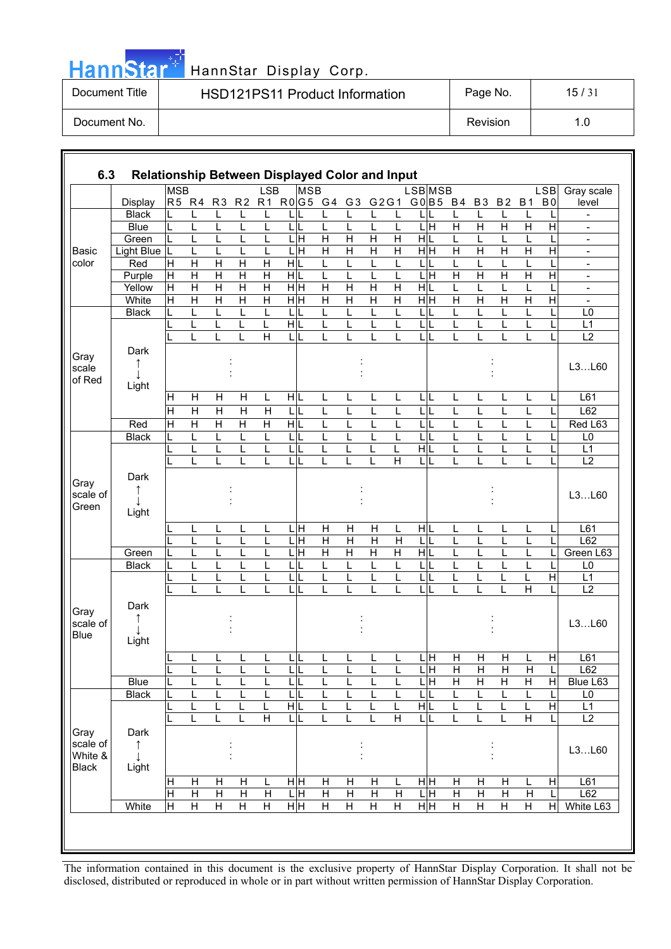|  |  | HannStar |  |
|--|--|----------|--|
|  |  |          |  |
|  |  |          |  |

# HannStar Display Corp.

| Document Title | <b>HSD121PS11 Product Information</b> | Page No. | 15/31 |
|----------------|---------------------------------------|----------|-------|
| Document No.   |                                       | Revision |       |

| 6.3                     | <b>Relationship Between Displayed Color and Input</b> |                |                         |                         |                              |                         |         |                           |                         |                         |                           |                         |                         |     |                         |                         |                         |                         |                         |                                            |
|-------------------------|-------------------------------------------------------|----------------|-------------------------|-------------------------|------------------------------|-------------------------|---------|---------------------------|-------------------------|-------------------------|---------------------------|-------------------------|-------------------------|-----|-------------------------|-------------------------|-------------------------|-------------------------|-------------------------|--------------------------------------------|
|                         |                                                       | <b>MSB</b>     |                         |                         |                              | <b>LSB</b>              |         | <b>MSB</b>                |                         |                         |                           |                         | <b>LSB</b> MSB          |     |                         |                         |                         |                         | LSB                     | Gray scale                                 |
|                         | Display                                               |                |                         | R5 R4 R3                |                              | R2 R1                   |         |                           | R0G5 G4 G3 G2G1 G0B5 B4 |                         |                           |                         |                         |     |                         | <b>B3</b>               | <b>B2</b>               | <b>B1</b>               | B <sub>0</sub>          | level                                      |
|                         | <b>Black</b>                                          |                | L                       | L                       | L                            | L                       |         |                           | L                       |                         | L                         | L                       |                         |     |                         | L                       | L                       |                         |                         |                                            |
|                         | <b>Blue</b>                                           | L              | L                       | L                       | L                            | L                       |         | LIL                       | L                       | L                       | L                         | L                       | ГH                      |     | $\overline{\mathsf{H}}$ | $\overline{\mathsf{H}}$ | $\overline{\mathsf{H}}$ | $\overline{H}$          | $\overline{\mathsf{H}}$ | $\overline{\phantom{a}}$                   |
|                         | Green                                                 | L              | L                       | L                       | L                            | L                       |         | 믘                         | $\overline{H}$          | $\overline{H}$          | $\overline{H}$            | $\overline{H}$          | H L                     |     | L                       | L                       | L                       |                         |                         | $\overline{\phantom{a}}$                   |
| <b>Basic</b>            | <b>Light Blue</b>                                     | L              | L                       | L                       | L                            | L                       |         | $\frac{1}{\text{H}}$      | $\overline{H}$          | $\overline{\mathsf{H}}$ | $\overline{H}$            | $\overline{H}$          | $\overline{H}$ H        |     | $\overline{H}$          | $\overline{H}$          | $\overline{\mathsf{H}}$ | $\overline{\mathsf{H}}$ | $\overline{\mathsf{H}}$ | $\overline{\phantom{a}}$                   |
| color                   | Red                                                   | $\overline{H}$ | $\mathsf{H}$            | $\overline{H}$          | $\overline{H}$               | $\mathsf{H}$            | HL      |                           | L                       | L                       | L                         | L                       | L                       | L   | L                       | L                       | L                       |                         |                         | $\overline{\phantom{a}}$                   |
|                         | Purple                                                | $\overline{H}$ | $\mathsf{H}$            | $\mathsf{H}$            | $\overline{H}$               | $\mathsf{H}$            | HL      |                           | L                       | L                       | L                         | L                       | L                       | Ε   | $\mathsf{H}$            | $\mathsf{H}$            | $\mathsf{H}$            | $\mathsf{H}$            | H                       | $\overline{\phantom{a}}$                   |
|                         | Yellow                                                | $\overline{H}$ | $\overline{H}$          | $\overline{H}$          | $\overline{H}$               | $\overline{\mathsf{H}}$ |         | H H                       | $\overline{H}$          | $\overline{H}$          | $\overline{H}$            | $\overline{H}$          | H L                     |     | L                       | Ĺ                       | L                       |                         |                         | $\overline{\phantom{a}}$                   |
|                         | White                                                 | $\overline{H}$ | $\overline{H}$          | $\overline{\mathsf{H}}$ | $\overline{\mathsf{H}}$<br>L | $\overline{\mathsf{H}}$ |         | $\frac{}{\overline{H}}$   | $\overline{H}$<br>L     | $\overline{H}$          | $\overline{\mathsf{H}}$   | $\overline{H}$          | H H                     |     | $\overline{H}$          | $\overline{H}$<br>L     | $\overline{H}$          | $\overline{H}$          | Η                       | $\overline{\phantom{a}}$<br>L <sub>0</sub> |
|                         | <b>Black</b>                                          |                | L<br>L                  | L<br>L                  | L                            | L<br>Г                  | L<br>HL |                           | L                       | L<br>L                  | L<br>L                    | L<br>L                  | L<br>L                  |     | L<br>L                  | L                       | L<br>L                  |                         |                         | L1                                         |
|                         |                                                       |                | L                       |                         |                              | H                       | LI      |                           | L                       |                         |                           | L                       | L                       |     | L                       |                         | L                       |                         |                         | $\overline{L2}$                            |
|                         | Dark                                                  |                |                         |                         |                              |                         |         |                           |                         |                         |                           |                         |                         |     |                         |                         |                         |                         |                         |                                            |
| Gray                    |                                                       |                |                         |                         |                              |                         |         |                           |                         |                         |                           |                         |                         |     |                         |                         |                         |                         |                         |                                            |
| scale                   |                                                       |                |                         |                         |                              |                         |         |                           |                         |                         |                           |                         |                         |     |                         |                         |                         |                         |                         | L3L60                                      |
| of Red                  | Light                                                 |                |                         |                         |                              |                         |         |                           |                         |                         |                           |                         |                         |     |                         |                         |                         |                         |                         |                                            |
|                         |                                                       | Η              | Н                       | Н                       | н                            | L                       | HIL     |                           | L                       | L                       | L                         | L                       | LIL                     |     | L                       | L                       | L                       | L                       |                         | L61                                        |
|                         |                                                       | Η              | $\overline{\mathsf{H}}$ | $\overline{\mathsf{H}}$ | Η                            | Η                       | LI      |                           | L                       | L                       | L                         | L                       | L                       | ΙĹ. | L                       | L                       | L                       |                         |                         | L62                                        |
|                         | Red                                                   | $\overline{H}$ | H                       | $\overline{H}$          | $\overline{H}$               | Н                       | HL      |                           | L                       | L                       | L                         | L                       | L                       |     | L                       | L                       | L                       | L                       |                         | Red L63                                    |
|                         | <b>Black</b>                                          | L              | L                       | L                       | L                            | L                       | LIL     |                           | L                       | L                       | L                         | L                       | L                       |     | L                       | L                       | L                       | L                       |                         | L <sub>0</sub>                             |
|                         |                                                       | L              | L                       | L                       | L                            | L                       |         | LL                        | L                       | L                       | L                         | L                       | H L                     |     | L                       | L                       | L                       | L                       |                         | L1                                         |
|                         |                                                       |                | L                       | L                       |                              |                         | L       |                           | L                       | L                       |                           | $\overline{H}$          | L                       |     | L                       |                         | L                       |                         |                         | L2                                         |
|                         | Dark                                                  |                |                         |                         |                              |                         |         |                           |                         |                         |                           |                         |                         |     |                         |                         |                         |                         |                         |                                            |
| Gray                    | ↑                                                     |                |                         |                         |                              |                         |         |                           |                         |                         |                           |                         |                         |     |                         |                         |                         |                         |                         |                                            |
| scale of                |                                                       |                |                         |                         |                              |                         |         |                           |                         |                         |                           |                         |                         |     |                         |                         |                         |                         |                         | L3L60                                      |
| Green                   | Light                                                 |                |                         |                         |                              |                         |         |                           |                         |                         |                           |                         |                         |     |                         |                         |                         |                         |                         |                                            |
|                         |                                                       |                | L                       | L                       | L                            | L                       |         | 量                         | Η                       | $\overline{H}$          | $\overline{H}$            | L                       | H L                     |     | L                       | L                       | L                       | L                       | L                       | L61                                        |
|                         |                                                       |                | L                       | L                       | L                            | L                       |         | $\frac{1}{\text{H}}$      | $\overline{H}$          | $\mathsf{H}$            | $\mathsf{H}$              | H                       | LL                      |     | L                       | L                       | L                       | L                       | L                       | L62                                        |
|                         | Green                                                 |                | L                       | L                       | L                            | L                       | L       | $\overline{H}$            | H                       | H                       | $\boldsymbol{\mathsf{H}}$ | $\overline{H}$          | HL                      |     | L                       | L                       | L                       | L                       |                         | Green L63                                  |
|                         | <b>Black</b>                                          |                |                         | L                       |                              |                         |         |                           | L                       | L                       | L                         | L                       | $\overline{\mathsf{L}}$ |     | L                       |                         | L                       |                         |                         | L <sub>0</sub>                             |
|                         |                                                       |                | L                       | L                       |                              |                         | L       |                           | L                       | L                       | L                         | L                       | L                       |     | L                       |                         | L                       |                         | $\overline{\mathsf{H}}$ | L1                                         |
|                         |                                                       |                | L                       | L                       | L                            |                         | L       |                           | L                       |                         |                           | L                       | L                       | IL  | L                       | L                       | L                       | $\overline{\mathsf{H}}$ |                         | $\overline{L2}$                            |
|                         | Dark                                                  |                |                         |                         |                              |                         |         |                           |                         |                         |                           |                         |                         |     |                         |                         |                         |                         |                         |                                            |
| Gray                    | T                                                     |                |                         |                         |                              |                         |         |                           |                         |                         |                           |                         |                         |     |                         |                         |                         |                         |                         |                                            |
| scale of<br><b>Blue</b> | T                                                     |                |                         |                         |                              |                         |         |                           |                         |                         |                           |                         |                         |     |                         |                         |                         |                         |                         | L3L60                                      |
|                         | Light                                                 |                |                         |                         |                              |                         |         |                           |                         |                         |                           |                         |                         |     |                         |                         |                         |                         |                         |                                            |
|                         |                                                       |                |                         |                         |                              |                         | L       |                           |                         |                         |                           |                         | ЦH                      |     | H                       | Η                       | H                       |                         | H                       | L61                                        |
|                         |                                                       |                | ┕                       | <u>ь</u>                | ┕                            |                         | ь.      |                           | ┕                       | ┕                       | ь                         | ┕                       | ЦH                      |     | $\overline{H}$          | $\overline{H}$          | $\overline{H}$          | $\overline{H}$          | L                       | L62                                        |
|                         | $\overline{Blue}$                                     | L              | L                       | L                       | L                            | L                       |         | LIL                       | L                       | L                       | L                         | L                       | ЦH                      |     | $\overline{H}$          | $\mathsf{H}$            | $\mathsf{H}$            | H                       | $\overline{H}$          | Blue L63                                   |
|                         | <b>Black</b>                                          |                | L                       | L                       | L                            | L                       |         | LIL                       | L                       | L                       | L                         | L                       | L                       | L   | L                       | L                       | L                       |                         |                         | L <sub>0</sub>                             |
|                         |                                                       |                | L                       | L                       | L                            | L                       | H L     |                           | L                       | L                       | L                         | L                       | H L                     |     | L                       | L                       | L                       |                         | H                       | L1                                         |
|                         |                                                       |                | L                       | L                       | L                            | $\overline{\mathsf{H}}$ | LL      |                           | L                       | L                       | L                         | $\overline{\mathsf{H}}$ | LL                      |     | L                       | L                       | L                       | $\overline{\mathsf{H}}$ |                         | L2                                         |
| Gray                    | Dark                                                  |                |                         |                         |                              |                         |         |                           |                         |                         |                           |                         |                         |     |                         |                         |                         |                         |                         |                                            |
| scale of                | $\uparrow$                                            |                |                         |                         |                              |                         |         |                           |                         |                         |                           |                         |                         |     |                         |                         |                         |                         |                         | L3L60                                      |
| White &                 | T                                                     |                |                         |                         |                              |                         |         |                           |                         |                         |                           |                         |                         |     |                         |                         |                         |                         |                         |                                            |
| <b>Black</b>            | Light                                                 |                |                         |                         |                              |                         |         |                           |                         |                         |                           |                         |                         |     |                         |                         |                         |                         |                         |                                            |
|                         |                                                       | $\mathsf{H}$   | H                       | H                       | H                            | L                       |         | нĮн                       | Н                       | Н                       | Н                         | L                       | HH                      |     | Н                       | H                       | $\mathsf{H}$            |                         | H                       | L61                                        |
|                         |                                                       | $\overline{H}$ | $\overline{H}$          | $\overline{H}$          | $\overline{H}$               | $\overline{H}$          |         | $\overline{\mathsf{L}}$ н | $\overline{H}$          | $\overline{H}$          | $\overline{H}$            | $\overline{H}$          | LH                      |     | $\overline{H}$          | $\overline{H}$          | $\overline{H}$          | $\overline{H}$          | L                       | L62                                        |
|                         | White                                                 | Η              | $\overline{H}$          | $\overline{H}$          | $\overline{H}$               | $\overline{H}$          |         | H H                       | $\overline{H}$          | $\overline{H}$          | $\overline{H}$            | $\overline{H}$          | H H                     |     | $\overline{H}$          | $\overline{H}$          | $\overline{H}$          | $\overline{H}$          | $\overline{H}$          | White L63                                  |
|                         |                                                       |                |                         |                         |                              |                         |         |                           |                         |                         |                           |                         |                         |     |                         |                         |                         |                         |                         |                                            |
|                         |                                                       |                |                         |                         |                              |                         |         |                           |                         |                         |                           |                         |                         |     |                         |                         |                         |                         |                         |                                            |
|                         |                                                       |                |                         |                         |                              |                         |         |                           |                         |                         |                           |                         |                         |     |                         |                         |                         |                         |                         |                                            |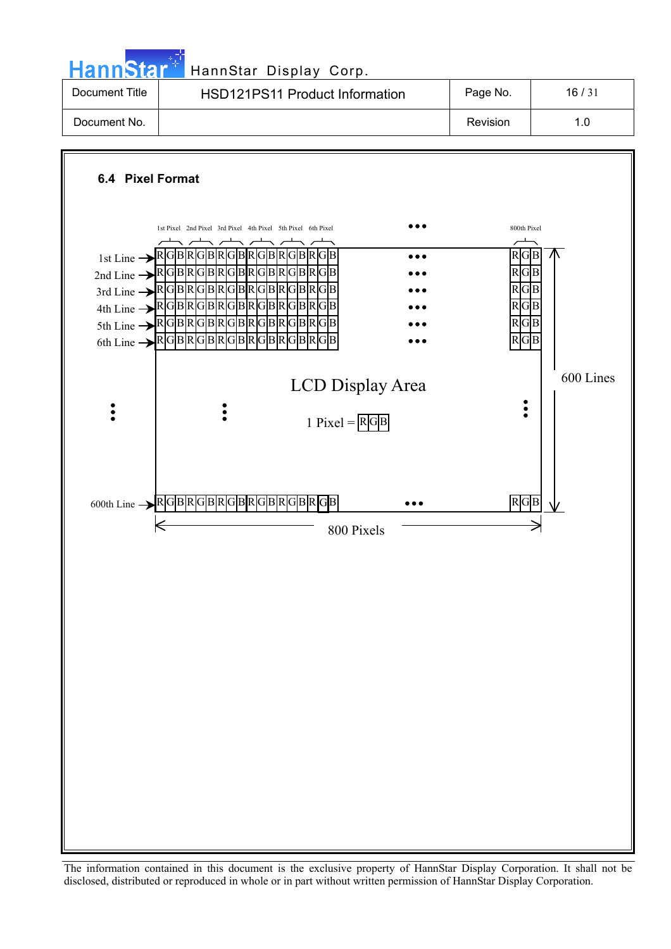**Hann**Star HannStar Display Corp.



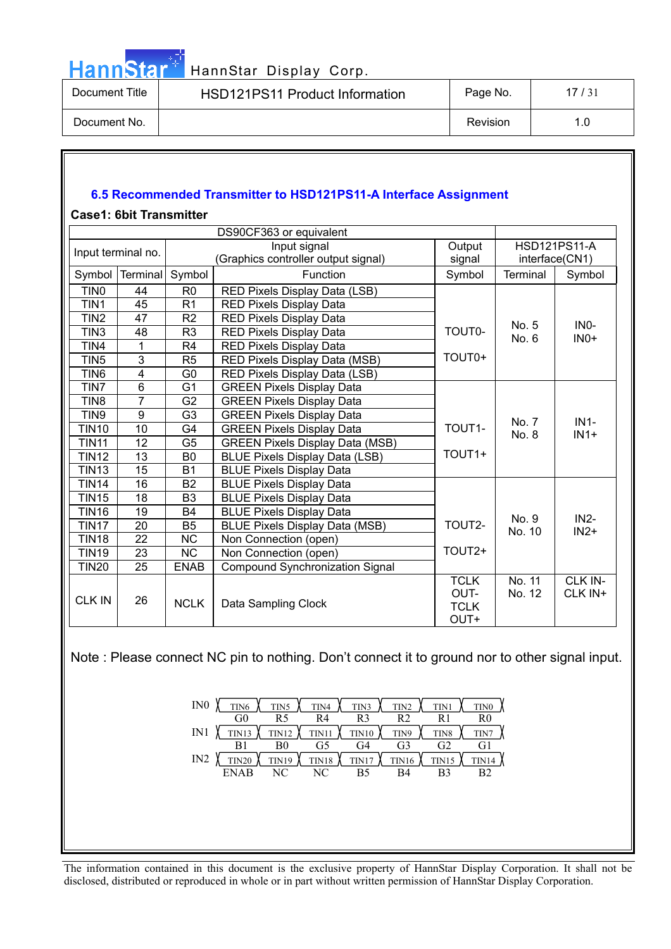

| Document Title | <b>HSD121PS11 Product Information</b> | Page No. | 17/31 |
|----------------|---------------------------------------|----------|-------|
| Document No.   |                                       | Revision |       |

### **6.5 Recommended Transmitter to HSD121PS11-A Interface Assignment**

### **Case1: 6bit Transmitter**

|                    |                 |                | DS90CF363 or equivalent                |                                            |                  |                     |
|--------------------|-----------------|----------------|----------------------------------------|--------------------------------------------|------------------|---------------------|
| Input terminal no. |                 |                | Input signal                           | Output                                     |                  | <b>HSD121PS11-A</b> |
|                    |                 |                | (Graphics controller output signal)    | signal                                     |                  | interface(CN1)      |
| Symbol             | <b>Terminal</b> | Symbol         | Function                               | Symbol                                     | Terminal         | Symbol              |
| TIN <sub>0</sub>   | 44              | R <sub>0</sub> | RED Pixels Display Data (LSB)          |                                            |                  |                     |
| TIN1               | 45              | R <sub>1</sub> | <b>RED Pixels Display Data</b>         |                                            |                  |                     |
| TIN <sub>2</sub>   | 47              | R <sub>2</sub> | <b>RED Pixels Display Data</b>         |                                            | No. 5            | IN <sub>0</sub> -   |
| TIN <sub>3</sub>   | 48              | R <sub>3</sub> | <b>RED Pixels Display Data</b>         | <b>TOUT0-</b>                              | No. 6            | $INO+$              |
| TIN4               | 1               | R4             | <b>RED Pixels Display Data</b>         |                                            |                  |                     |
| TIN <sub>5</sub>   | $\overline{3}$  | R <sub>5</sub> | RED Pixels Display Data (MSB)          | TOUT0+                                     |                  |                     |
| TIN <sub>6</sub>   | 4               | G <sub>0</sub> | RED Pixels Display Data (LSB)          |                                            |                  |                     |
| TIN7               | $6\phantom{1}$  | G1             | <b>GREEN Pixels Display Data</b>       |                                            |                  |                     |
| TIN <sub>8</sub>   | $\overline{7}$  | G <sub>2</sub> | <b>GREEN Pixels Display Data</b>       |                                            |                  |                     |
| TIN9               | 9               | G <sub>3</sub> | <b>GREEN Pixels Display Data</b>       |                                            | No. 7            | $IN1-$              |
| <b>TIN10</b>       | 10              | G4             | <b>GREEN Pixels Display Data</b>       | TOUT1-                                     | No. 8            | $IN1+$              |
| <b>TIN11</b>       | 12              | G <sub>5</sub> | <b>GREEN Pixels Display Data (MSB)</b> |                                            |                  |                     |
| TIN12              | 13              | B <sub>0</sub> | <b>BLUE Pixels Display Data (LSB)</b>  | TOUT1+                                     |                  |                     |
| <b>TIN13</b>       | 15              | <b>B1</b>      | <b>BLUE Pixels Display Data</b>        |                                            |                  |                     |
| <b>TIN14</b>       | 16              | <b>B2</b>      | <b>BLUE Pixels Display Data</b>        |                                            |                  |                     |
| <b>TIN15</b>       | 18              | B <sub>3</sub> | <b>BLUE Pixels Display Data</b>        |                                            |                  |                     |
| <b>TIN16</b>       | 19              | <b>B4</b>      | <b>BLUE Pixels Display Data</b>        |                                            | No. 9            | $IN2-$              |
| <b>TIN17</b>       | 20              | B <sub>5</sub> | <b>BLUE Pixels Display Data (MSB)</b>  | TOUT2-                                     | No. 10           | $IN2+$              |
| <b>TIN18</b>       | 22              | <b>NC</b>      | Non Connection (open)                  |                                            |                  |                     |
| <b>TIN19</b>       | 23              | <b>NC</b>      | Non Connection (open)                  | TOUT <sub>2+</sub>                         |                  |                     |
| <b>TIN20</b>       | $\overline{25}$ | <b>ENAB</b>    | <b>Compound Synchronization Signal</b> |                                            |                  |                     |
| <b>CLK IN</b>      | 26              | <b>NCLK</b>    | Data Sampling Clock                    | <b>TCLK</b><br>OUT-<br><b>TCLK</b><br>OUT+ | No. 11<br>No. 12 | CLK IN-<br>CLK IN+  |

Note : Please connect NC pin to nothing. Don't connect it to ground nor to other signal input.

| IN <sub>0</sub> | TIN <sub>6</sub> | TIN5         | TIN4         | TIN3         | TIN <sub>2</sub> | TIN1             | TIN <sub>0</sub> |
|-----------------|------------------|--------------|--------------|--------------|------------------|------------------|------------------|
|                 | G0               | R5           | R4           | R٩           | R2               |                  | R0               |
| IN1             | <b>TIN13</b>     | <b>TIN12</b> | <b>TIN11</b> | $\chi$ TIN10 | TIN9             | TIN <sub>8</sub> | TIN7             |
|                 |                  | B0           | G5           | G4           | G <sub>3</sub>   | G2               | G1               |
| IN2             | <b>TIN20</b>     | <b>TIN19</b> | <b>TIN18</b> | TIN17        | <b>TIN16</b>     | TIN15            | <b>TIN14</b>     |
|                 | <b>ENAB</b>      | NC           | NC           | B5           | R4               | B3               | B <sub>2</sub>   |
|                 |                  |              |              |              |                  |                  |                  |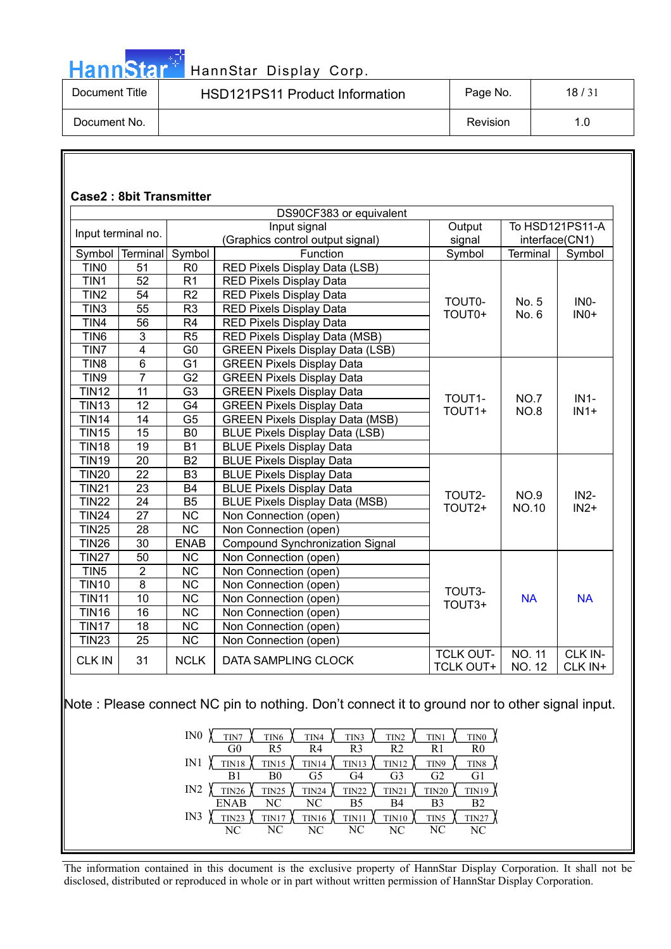

# HannStar<sup>47</sup> HannStar Display Corp.

| Document Title | HSD121PS11 Product Information | Page No. | 18/31 |
|----------------|--------------------------------|----------|-------|
| Document No.   |                                | Revision |       |

|                  |                    |                        | DS90CF383 or equivalent                |                                      |                                |                    |
|------------------|--------------------|------------------------|----------------------------------------|--------------------------------------|--------------------------------|--------------------|
|                  | Input terminal no. |                        | Input signal                           | Output                               | To HSD121PS11-A                |                    |
|                  |                    |                        | (Graphics control output signal)       | signal                               | interface(CN1)                 |                    |
| Symbol           | Terminal           | Symbol                 | Function                               | Symbol                               | Terminal                       | Symbol             |
| TIN <sub>0</sub> | 51                 | R <sub>0</sub>         | RED Pixels Display Data (LSB)          |                                      |                                |                    |
| TIN1             | 52                 | R <sub>1</sub>         | RED Pixels Display Data                |                                      |                                |                    |
| TIN <sub>2</sub> | 54                 | R2                     | <b>RED Pixels Display Data</b>         | TOUT0-                               | No. 5                          | IN <sub>0</sub> -  |
| TIN <sub>3</sub> | $\overline{55}$    | R <sub>3</sub>         | <b>RED Pixels Display Data</b>         | TOUT0+                               | No. 6                          | $INO+$             |
| TIN4             | 56                 | R <sub>4</sub>         | <b>RED Pixels Display Data</b>         |                                      |                                |                    |
| TIN <sub>6</sub> | $\overline{3}$     | R5                     | RED Pixels Display Data (MSB)          |                                      |                                |                    |
| TIN7             | $\overline{4}$     | $\overline{G}0$        | <b>GREEN Pixels Display Data (LSB)</b> |                                      |                                |                    |
| TIN <sub>8</sub> | $\overline{6}$     | G <sub>1</sub>         | <b>GREEN Pixels Display Data</b>       |                                      |                                |                    |
| TIN9             | 7                  | $\overline{G2}$        | <b>GREEN Pixels Display Data</b>       |                                      | NO.7<br><b>NO.8</b>            | $IN1-$<br>$IN1+$   |
| <b>TIN12</b>     | 11                 | $\overline{G3}$        | <b>GREEN Pixels Display Data</b>       |                                      |                                |                    |
| <b>TIN13</b>     | 12                 | G <sub>4</sub>         | <b>GREEN Pixels Display Data</b>       | TOUT1-<br>TOUT1+                     |                                |                    |
| <b>TIN14</b>     | 14                 | G <sub>5</sub>         | <b>GREEN Pixels Display Data (MSB)</b> |                                      |                                |                    |
| <b>TIN15</b>     | 15                 | B <sub>0</sub>         | <b>BLUE Pixels Display Data (LSB)</b>  |                                      |                                |                    |
| <b>TIN18</b>     | 19                 | <b>B1</b>              | <b>BLUE Pixels Display Data</b>        |                                      |                                |                    |
| <b>TIN19</b>     | 20                 | <b>B2</b>              | <b>BLUE Pixels Display Data</b>        |                                      |                                |                    |
| <b>TIN20</b>     | $\overline{22}$    | B <sub>3</sub>         | <b>BLUE Pixels Display Data</b>        |                                      |                                | IN <sub>2</sub> -  |
| <b>TIN21</b>     | 23                 | <b>B4</b>              | <b>BLUE Pixels Display Data</b>        |                                      |                                |                    |
| <b>TIN22</b>     | 24                 | <b>B5</b>              | <b>BLUE Pixels Display Data (MSB)</b>  | TOUT2-                               | <b>NO.9</b>                    |                    |
| <b>TIN24</b>     | 27                 | $\overline{\text{NC}}$ | Non Connection (open)                  | TOUT2+                               | <b>NO.10</b>                   | $IN2+$             |
| <b>TIN25</b>     | 28                 | $\overline{\text{NC}}$ | Non Connection (open)                  |                                      |                                |                    |
| <b>TIN26</b>     | 30                 | <b>ENAB</b>            | <b>Compound Synchronization Signal</b> |                                      |                                |                    |
| <b>TIN27</b>     | 50                 | NC                     | Non Connection (open)                  |                                      |                                |                    |
| TIN <sub>5</sub> | $\overline{2}$     | $\overline{\text{NC}}$ | Non Connection (open)                  |                                      |                                |                    |
| <b>TIN10</b>     | $\overline{8}$     | $\overline{\text{NC}}$ | Non Connection (open)                  |                                      |                                |                    |
| <b>TIN11</b>     | 10                 | <b>NC</b>              | Non Connection (open)                  | TOUT3-                               | <b>NA</b>                      | <b>NA</b>          |
| <b>TIN16</b>     | 16                 | $\overline{\text{NC}}$ | Non Connection (open)                  | TOUT3+                               |                                |                    |
| <b>TIN17</b>     | 18                 | $\overline{\text{NC}}$ | Non Connection (open)                  |                                      |                                |                    |
| <b>TIN23</b>     | 25                 | $\overline{\text{NC}}$ | Non Connection (open)                  |                                      |                                |                    |
| <b>CLK IN</b>    | 31                 | <b>NCLK</b>            | DATA SAMPLING CLOCK                    | <b>TCLK OUT-</b><br><b>TCLK OUT+</b> | <b>NO. 11</b><br><b>NO. 12</b> | CLK IN-<br>CLK IN+ |

| IN <sub>0</sub><br>TIN7<br>TIN <sub>6</sub><br>TIN <sub>2</sub><br>TIN4<br>TIN3<br>TIN1 | TIN <sub>0</sub> |
|-----------------------------------------------------------------------------------------|------------------|
| G <sub>0</sub><br>R <sub>2</sub><br>R4<br>R <sub>3</sub><br>R5<br>R1                    | R0               |
| IN1<br><b>TIN18</b><br><b>TIN14</b><br><b>TIN15</b><br><b>TIN12</b><br>TIN13<br>TIN9    | TIN <sub>8</sub> |
| G <sub>3</sub><br>G <sub>2</sub><br>B <sub>0</sub><br>G5<br>G4<br>R1                    | G1               |
| IN2<br><b>TIN26</b><br><b>TIN25</b><br>TIN24<br>TIN22<br><b>TIN20</b><br>TIN21          | <b>TIN19</b>     |
| <b>ENAB</b><br>NC.<br>NC.<br>B4<br>B5<br>B3                                             | B <sub>2</sub>   |
| IN3<br><b>TIN23</b><br>TIN17<br><b>TIN16</b><br>TIN10<br>TIN11<br>TIN5                  | <b>TIN27</b>     |
| NC.<br>NC.<br>NC.<br>NC<br>NC<br>NC                                                     | NC.              |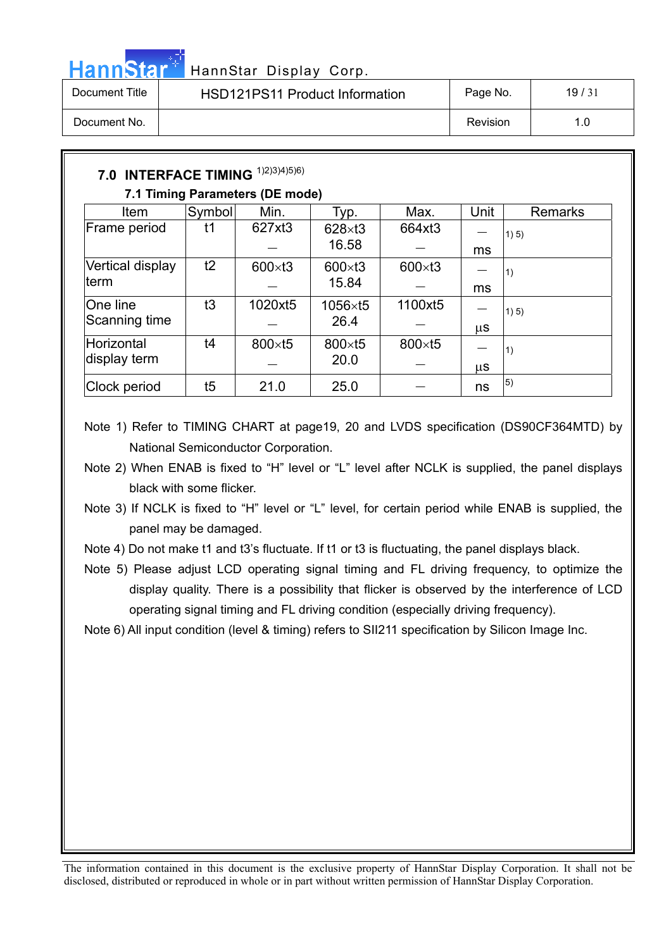

# HannStar<sup>47</sup> HannStar Display Corp.

| Document Title | <b>HSD121PS11 Product Information</b> | Page No. | 19/31 |
|----------------|---------------------------------------|----------|-------|
| Document No.   |                                       | Revision | 1.0   |

| <b>7.0 INTERFACE TIMING</b> |        | 1)2)3)4)5)6)                    |                |                 |      |            |
|-----------------------------|--------|---------------------------------|----------------|-----------------|------|------------|
|                             |        | 7.1 Timing Parameters (DE mode) |                |                 |      |            |
| Item                        | Symbol | Min.                            | Typ.           | Max.            | Unit | Remarks    |
| Frame period                | t1     | 627xt3                          | $628\times13$  | 664xt3          |      | 1) 5)      |
|                             |        |                                 | 16.58          |                 | ms   |            |
| Vertical display            | t2     | $600\times t3$                  | $600\times t3$ | $600 \times t3$ |      | $\vert$ 1) |
| term                        |        |                                 | 15.84          |                 | ms   |            |
| One line                    | t3     | 1020xt5                         | 1056×t5        | 1100xt5         |      | 1) 5)      |
| Scanning time               |        |                                 | 26.4           |                 | μS   |            |
| Horizontal                  | t4     | 800×t5                          | 800×t5         | 800×t5          |      | $\vert$ 1) |
| display term                |        |                                 | 20.0           |                 | μS   |            |
| Clock period                | t5     | 21.0                            | 25.0           |                 | ns   | 5)         |

- Note 1) Refer to TIMING CHART at page19, 20 and LVDS specification (DS90CF364MTD) by National Semiconductor Corporation.
- Note 2) When ENAB is fixed to "H" level or "L" level after NCLK is supplied, the panel displays black with some flicker.
- Note 3) If NCLK is fixed to "H" level or "L" level, for certain period while ENAB is supplied, the panel may be damaged.
- Note 4) Do not make t1 and t3's fluctuate. If t1 or t3 is fluctuating, the panel displays black.
- Note 5) Please adjust LCD operating signal timing and FL driving frequency, to optimize the display quality. There is a possibility that flicker is observed by the interference of LCD operating signal timing and FL driving condition (especially driving frequency).
- Note 6) All input condition (level & timing) refers to SII211 specification by Silicon Image Inc.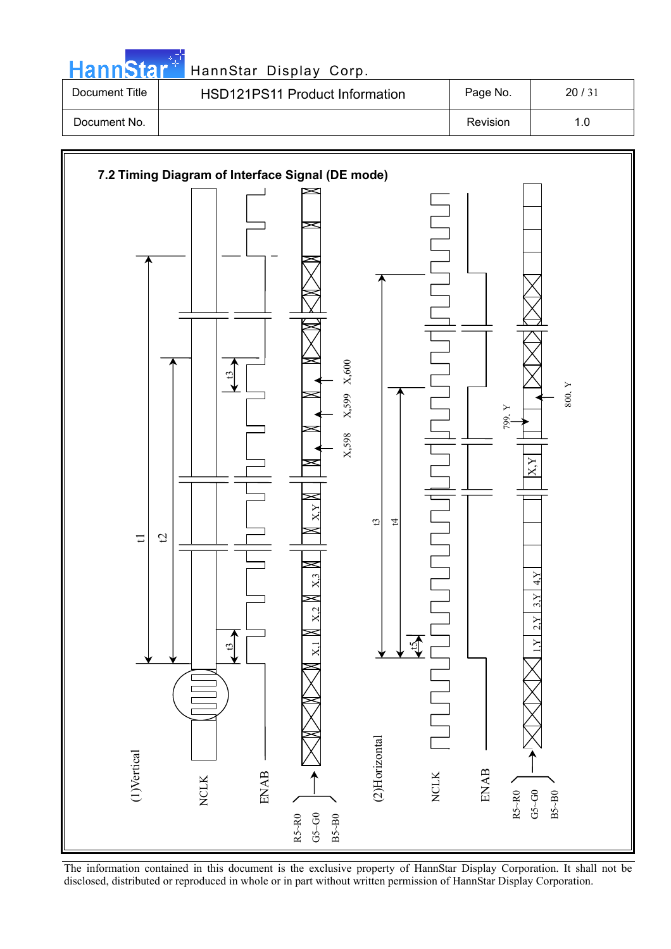|                | HannStar <sup>+</sup> HannStar Display Corp. |          |       |  |
|----------------|----------------------------------------------|----------|-------|--|
| Document Title | <b>HSD121PS11 Product Information</b>        | Page No. | 20/31 |  |
| Document No.   |                                              | Revision | 1.0   |  |



The information contained in this document is the exclusive property of HannStar Display Corporation. It shall not be disclosed, distributed or reproduced in whole or in part without written permission of HannStar Display Corporation.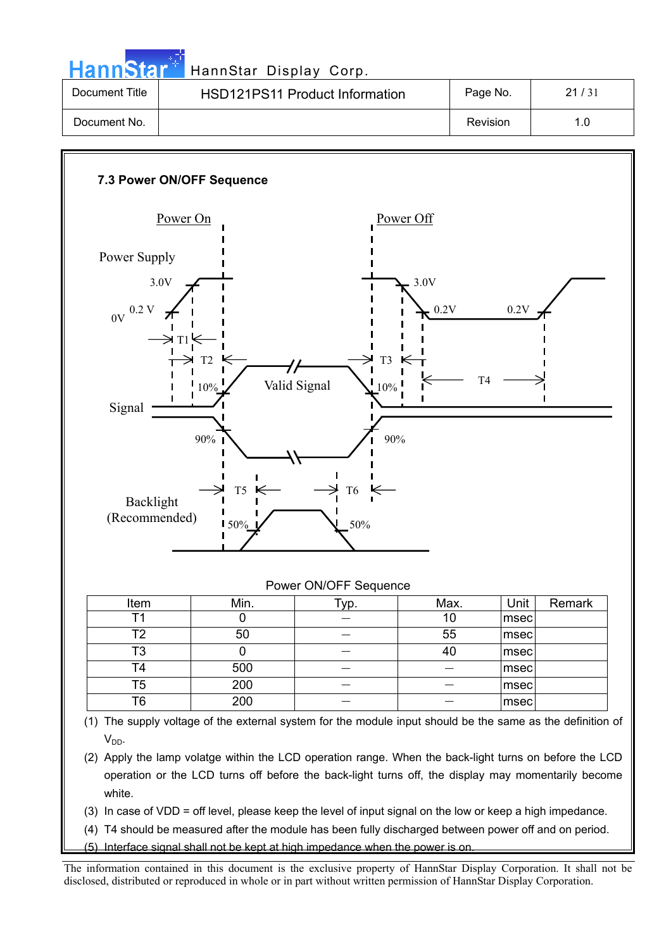HannStar<sup>17</sup> HannStar Display Corp.

| Document Title | <b>HSD121PS11 Product Information</b> | Page No. | 21/31 |
|----------------|---------------------------------------|----------|-------|
| Document No.   |                                       | Revision | 1.0   |



(4) T4 should be measured after the module has been fully discharged between power off and on period.

(5) Interface signal shall not be kept at high impedance when the power is on.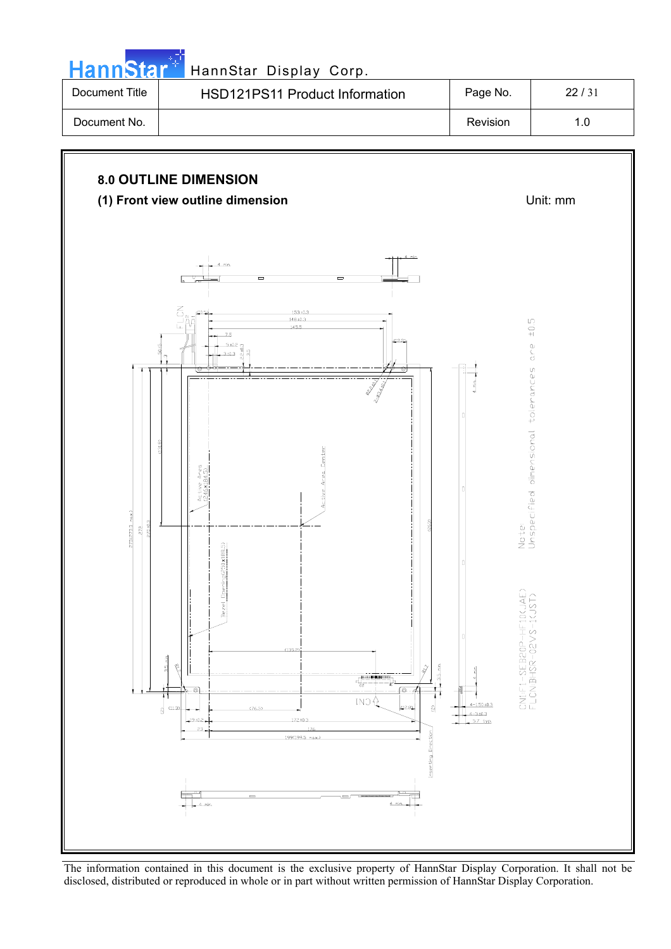| 512                               | HannStar Display Corp.                                                                                                                                                                                                                                                                                                                                                                                                                                                                                                       |                                                                                                                 |                                                                         |
|-----------------------------------|------------------------------------------------------------------------------------------------------------------------------------------------------------------------------------------------------------------------------------------------------------------------------------------------------------------------------------------------------------------------------------------------------------------------------------------------------------------------------------------------------------------------------|-----------------------------------------------------------------------------------------------------------------|-------------------------------------------------------------------------|
| Document Title                    | HSD121PS11 Product Information                                                                                                                                                                                                                                                                                                                                                                                                                                                                                               | Page No.                                                                                                        | 22/31                                                                   |
| Document No.                      |                                                                                                                                                                                                                                                                                                                                                                                                                                                                                                                              | Revision                                                                                                        | $1.0$                                                                   |
|                                   | <b>8.0 OUTLINE DIMENSION</b><br>(1) Front view outline dimension                                                                                                                                                                                                                                                                                                                                                                                                                                                             |                                                                                                                 | Unit: mm                                                                |
| 275(275.5 max.)<br>270±0.3<br>272 | min<br>$\equiv$<br>$\equiv$<br>┕═<br>$\leq$<br>(10.5<br>153+0<br>$148 +$<br>145<br>7.5<br>5±0.2<br>$3 + 0.3$<br><b>RANT</b><br>$\frac{1}{2}$<br>263<br>Dpening(250x188.5)<br>Bezel<br>(139.2)<br>딐<br>ę<br>$3.5$ min.<br>91<br>$\hat{\phi}$<br>$\begin{array}{c c} - & - & - & - \\ \hline \hline \text{minimim} \\ \text{if } & - & - \\ \hline \text{if } & - & - \\ \end{array}$<br>⊚.<br>٥<br>tN⊃∯<br>(2.8)<br>ଖି<br>(11.3)<br>(76.5)<br>ଶ୍ର<br>19:02<br>172:10.3<br>176<br>23<br>Inserting Direction<br>199(199.5 max.) | Ì<br>CN1:F1-SEB20P-HF10(JAE)<br>FLCN:BHSR-02VS-1(JST)<br>å<br>$4 - 1.50 \pm 0.3$<br>$4 - 3 + 0.3$<br>$5.7$ typ. | $\pm 0.5$<br>O<br>ے<br>o<br>Note:<br>Unspecified dimensional tolerances |

مراجع والمنا

The information contained in this document is the exclusive property of HannStar Display Corporation. It shall not be disclosed, distributed or reproduced in whole or in part without written permission of HannStar Display Corporation.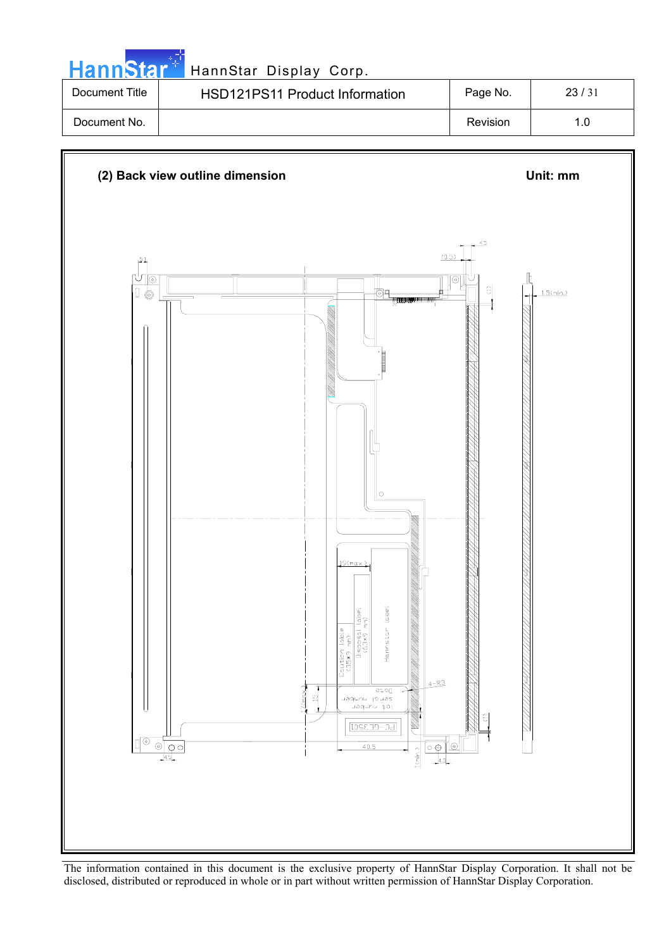| <b>HannStar<sup>*</sup></b> | HannStar Display Corp.                |          |       |
|-----------------------------|---------------------------------------|----------|-------|
| Document Title              | <b>HSD121PS11 Product Information</b> | Page No. | 23/31 |
| Document No.                |                                       | Revision | 1.0   |

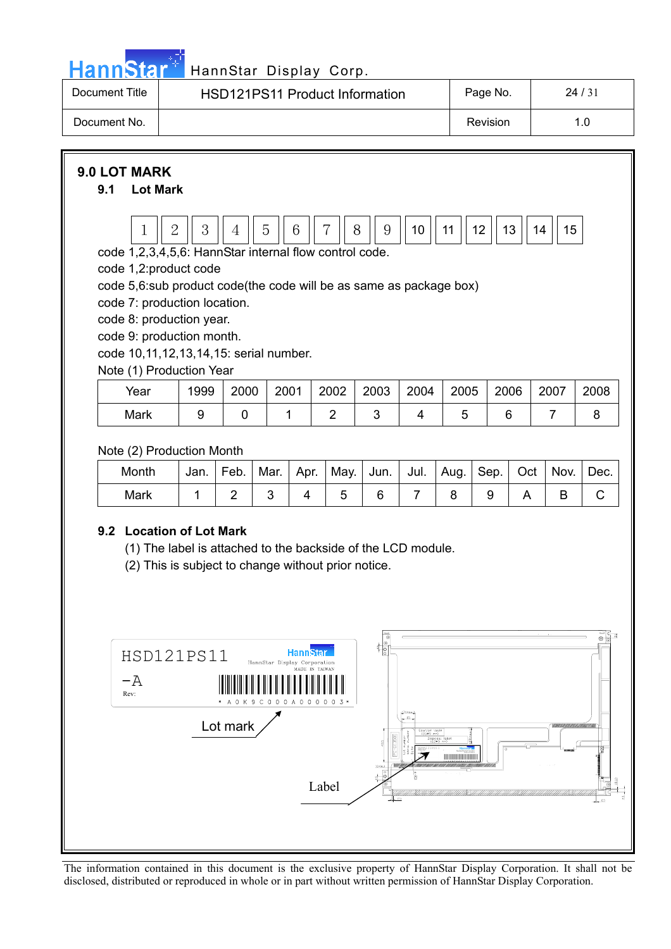

# HannStar<sup>#</sup> HannStar Display Corp.

| Document Title | <b>HSD121PS11 Product Information</b> | Page No. | 24/31 |
|----------------|---------------------------------------|----------|-------|
| Document No.   |                                       | Revision | 1.0   |

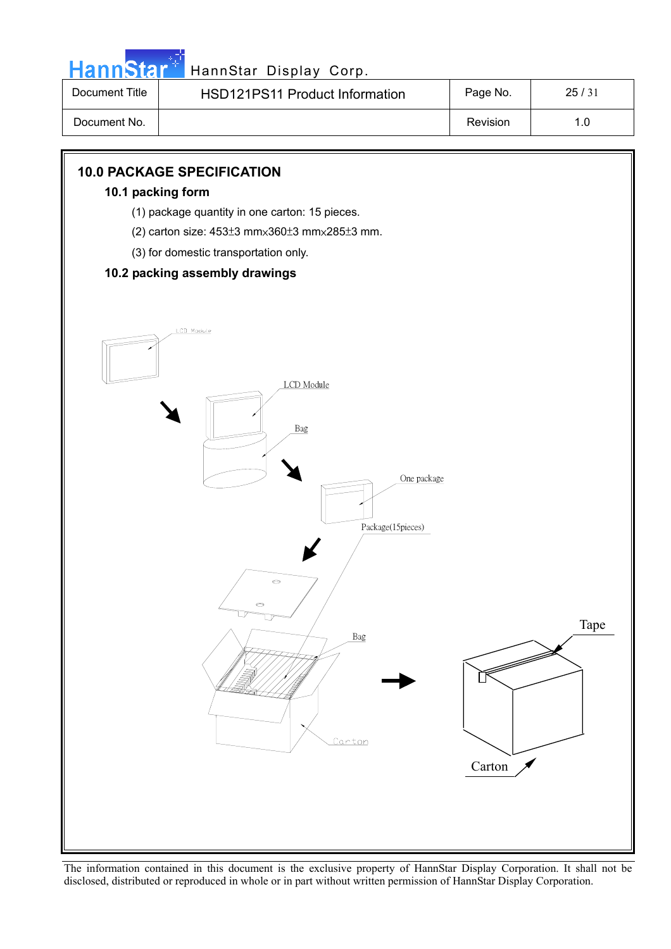

| Document Title | <b>HSD121PS11 Product Information</b> | Page No. | 25/31 |
|----------------|---------------------------------------|----------|-------|
| Document No.   |                                       | Revision | 1.0   |

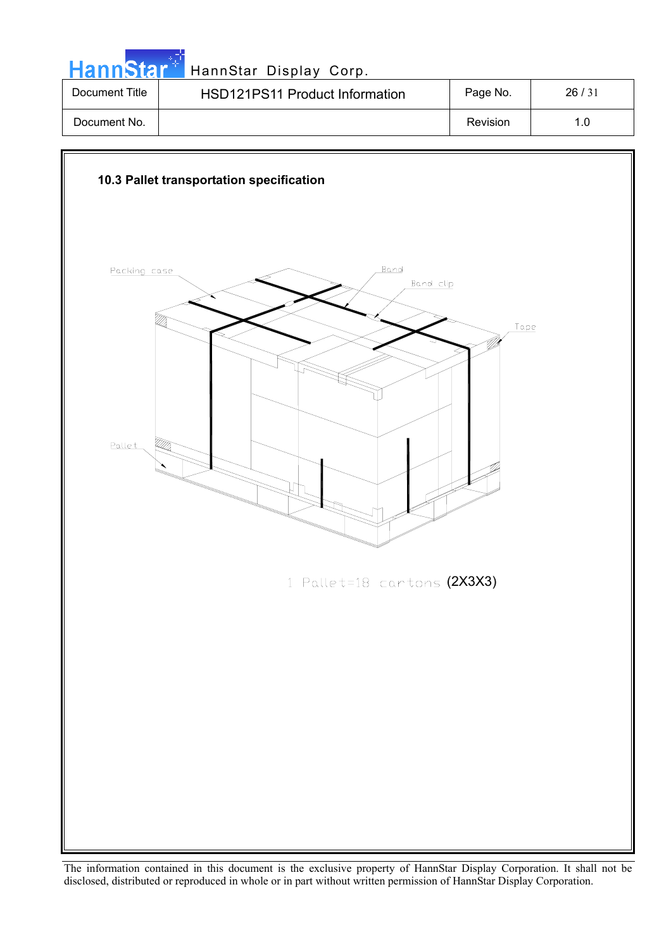|                | HannStar <sup>+</sup> HannStar Display Corp. |          |       |
|----------------|----------------------------------------------|----------|-------|
| Document Title | <b>HSD121PS11 Product Information</b>        | Page No. | 26/31 |
| Document No.   |                                              | Revision | 1.0   |

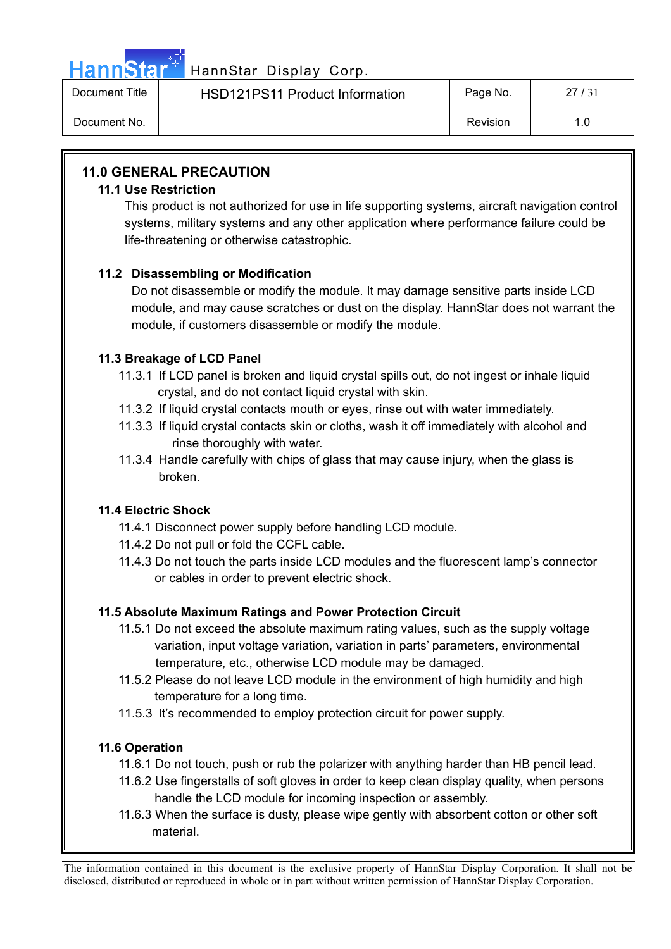

# HannStar<sup>1</sup> HannStar Display Corp.

| Document Title | <b>HSD121PS11 Product Information</b> | Page No. | 27/31 |
|----------------|---------------------------------------|----------|-------|
| Document No.   |                                       | Revision |       |

# **11.0 GENERAL PRECAUTION**

### **11.1 Use Restriction**

This product is not authorized for use in life supporting systems, aircraft navigation control systems, military systems and any other application where performance failure could be life-threatening or otherwise catastrophic.

# **11.2 Disassembling or Modification**

Do not disassemble or modify the module. It may damage sensitive parts inside LCD module, and may cause scratches or dust on the display. HannStar does not warrant the module, if customers disassemble or modify the module.

## **11.3 Breakage of LCD Panel**

- 11.3.1 If LCD panel is broken and liquid crystal spills out, do not ingest or inhale liquid crystal, and do not contact liquid crystal with skin.
- 11.3.2 If liquid crystal contacts mouth or eyes, rinse out with water immediately.
- 11.3.3 If liquid crystal contacts skin or cloths, wash it off immediately with alcohol and rinse thoroughly with water.
- 11.3.4 Handle carefully with chips of glass that may cause injury, when the glass is broken.

## **11.4 Electric Shock**

- 11.4.1 Disconnect power supply before handling LCD module.
- 11.4.2 Do not pull or fold the CCFL cable.
- 11.4.3 Do not touch the parts inside LCD modules and the fluorescent lamp's connector or cables in order to prevent electric shock.

# **11.5 Absolute Maximum Ratings and Power Protection Circuit**

- 11.5.1 Do not exceed the absolute maximum rating values, such as the supply voltage variation, input voltage variation, variation in parts' parameters, environmental temperature, etc., otherwise LCD module may be damaged.
- 11.5.2 Please do not leave LCD module in the environment of high humidity and high temperature for a long time.
- 11.5.3 It's recommended to employ protection circuit for power supply.

# **11.6 Operation**

- 11.6.1 Do not touch, push or rub the polarizer with anything harder than HB pencil lead.
- 11.6.2 Use fingerstalls of soft gloves in order to keep clean display quality, when persons handle the LCD module for incoming inspection or assembly.
- 11.6.3 When the surface is dusty, please wipe gently with absorbent cotton or other soft material.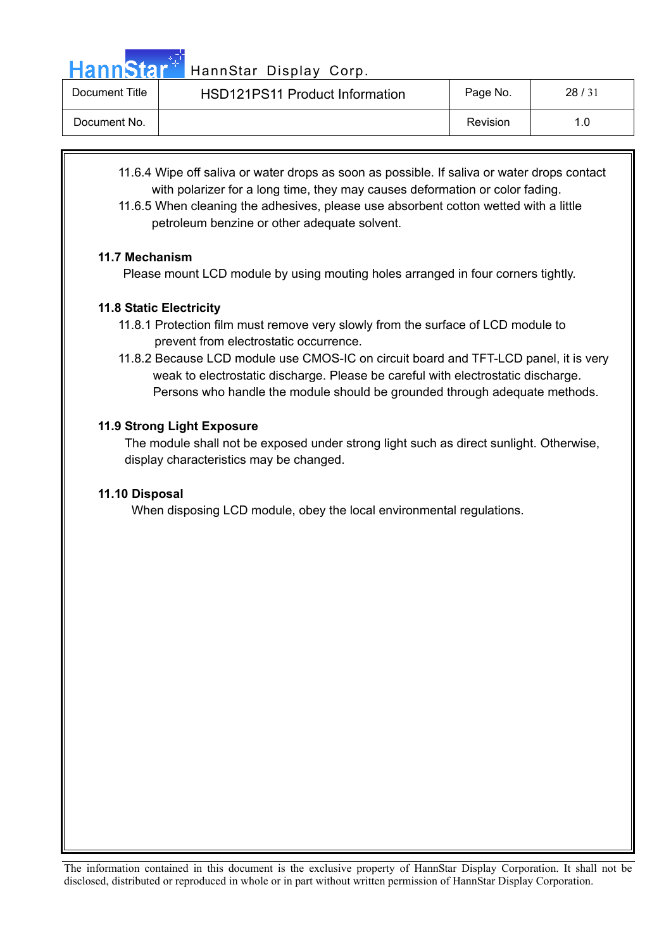HannStar<sup>47</sup> HannStar Display Corp.

| Document Title | HSD121PS11 Product Information | Page No. | 28/31 |
|----------------|--------------------------------|----------|-------|
| Document No.   |                                | Revision | 1.0   |

11.6.4 Wipe off saliva or water drops as soon as possible. If saliva or water drops contact with polarizer for a long time, they may causes deformation or color fading.

11.6.5 When cleaning the adhesives, please use absorbent cotton wetted with a little petroleum benzine or other adequate solvent.

### **11.7 Mechanism**

Please mount LCD module by using mouting holes arranged in four corners tightly.

### **11.8 Static Electricity**

- 11.8.1 Protection film must remove very slowly from the surface of LCD module to prevent from electrostatic occurrence.
- 11.8.2 Because LCD module use CMOS-IC on circuit board and TFT-LCD panel, it is very weak to electrostatic discharge. Please be careful with electrostatic discharge. Persons who handle the module should be grounded through adequate methods.

### **11.9 Strong Light Exposure**

The module shall not be exposed under strong light such as direct sunlight. Otherwise, display characteristics may be changed.

### **11.10 Disposal**

When disposing LCD module, obey the local environmental regulations.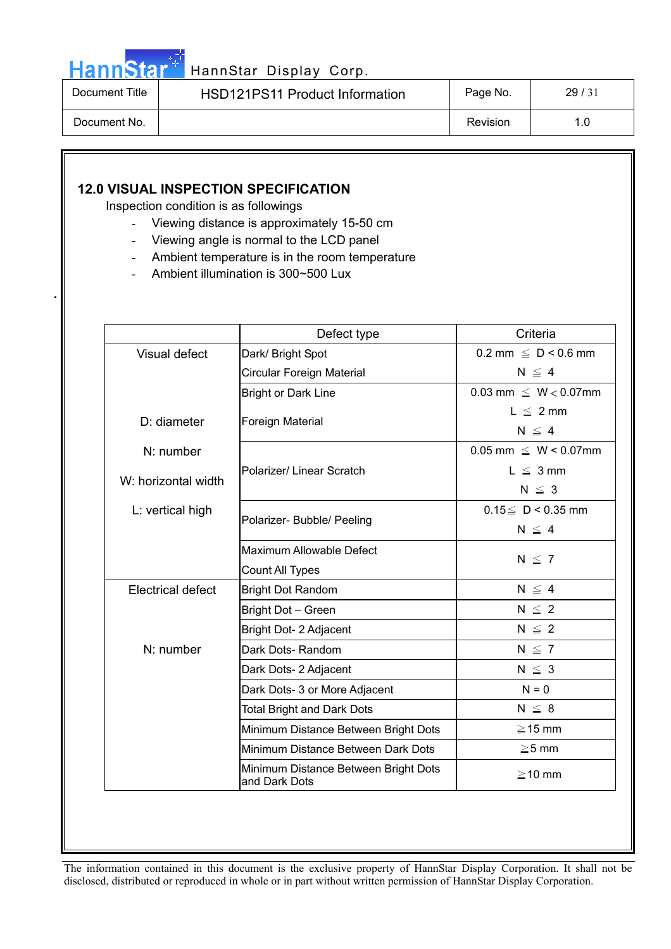

**.**

| Document Title | <b>HSD121PS11 Product Information</b> | Page No. | 29/31 |
|----------------|---------------------------------------|----------|-------|
| Document No.   |                                       | Revision |       |

## **12.0 VISUAL INSPECTION SPECIFICATION**

Inspection condition is as followings

- Viewing distance is approximately 15-50 cm
- Viewing angle is normal to the LCD panel
- Ambient temperature is in the room temperature
- Ambient illumination is 300~500 Lux

|                          | Defect type                                           | Criteria                                  |  |
|--------------------------|-------------------------------------------------------|-------------------------------------------|--|
| Visual defect            | Dark/ Bright Spot                                     | $0.2 \text{ mm } \leq D < 0.6 \text{ mm}$ |  |
|                          | Circular Foreign Material                             | $N \leq 4$                                |  |
|                          | <b>Bright or Dark Line</b>                            | $0.03$ mm $\leq W < 0.07$ mm              |  |
| D: diameter              |                                                       | $L \leq 2$ mm                             |  |
|                          | Foreign Material                                      | $N \leq 4$                                |  |
| $N:$ number              |                                                       | $0.05$ mm $\leq W < 0.07$ mm              |  |
|                          | Polarizer/ Linear Scratch                             | $L \leq 3$ mm                             |  |
| W: horizontal width      |                                                       | $N \leq 3$                                |  |
| L: vertical high         |                                                       | $0.15 \le D < 0.35$ mm                    |  |
|                          | Polarizer- Bubble/ Peeling                            | $N \leq 4$                                |  |
|                          | Maximum Allowable Defect                              |                                           |  |
|                          | Count All Types                                       | $N \leq 7$                                |  |
| <b>Electrical defect</b> | <b>Bright Dot Random</b>                              | $N \leq 4$                                |  |
|                          | Bright Dot - Green                                    | $N \leq 2$                                |  |
|                          | Bright Dot- 2 Adjacent                                | $N \leq 2$                                |  |
| N: number                | Dark Dots-Random                                      | $N \leq 7$                                |  |
|                          | Dark Dots- 2 Adjacent                                 | $N \leq 3$                                |  |
|                          | Dark Dots- 3 or More Adjacent                         | $N = 0$                                   |  |
|                          | <b>Total Bright and Dark Dots</b>                     | $N \leq 8$                                |  |
|                          | Minimum Distance Between Bright Dots                  | $\geq$ 15 mm                              |  |
|                          | Minimum Distance Between Dark Dots                    | $\geq 5$ mm                               |  |
|                          | Minimum Distance Between Bright Dots<br>and Dark Dots | $\geq$ 10 mm                              |  |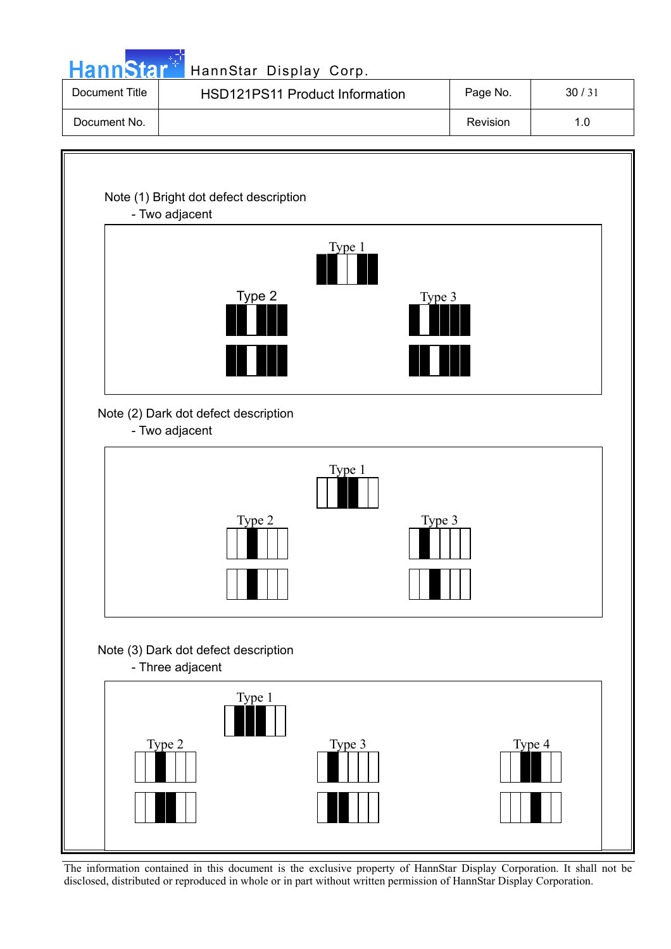|                | HannStar <sup>t HannStar Display Corp.</sup>                       |        |          |       |
|----------------|--------------------------------------------------------------------|--------|----------|-------|
| Document Title | HSD121PS11 Product Information                                     |        | Page No. | 30/31 |
| Document No.   |                                                                    |        | Revision | 1.0   |
|                | Note (1) Bright dot defect description<br>- Two adjacent<br>Type 2 | Type 1 | Type 3   |       |
|                | Note (2) Dark dot defect description<br>- Two adjacent             | Type 1 |          |       |
|                | Type 2                                                             |        | Type 3   |       |
|                | Note (3) Dark dot defect description<br>- Three adjacent<br>Type 1 |        |          |       |
|                | Type 2                                                             | Type 3 | Type 4   |       |